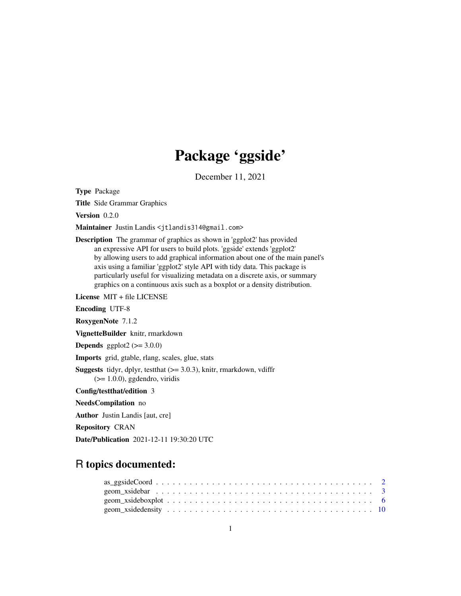# Package 'ggside'

December 11, 2021

<span id="page-0-0"></span>Type Package

Title Side Grammar Graphics

Version 0.2.0

Maintainer Justin Landis <jtlandis314@gmail.com>

Description The grammar of graphics as shown in 'ggplot2' has provided an expressive API for users to build plots. 'ggside' extends 'ggplot2' by allowing users to add graphical information about one of the main panel's axis using a familiar 'ggplot2' style API with tidy data. This package is particularly useful for visualizing metadata on a discrete axis, or summary graphics on a continuous axis such as a boxplot or a density distribution.

License MIT + file LICENSE

Encoding UTF-8

RoxygenNote 7.1.2

VignetteBuilder knitr, rmarkdown

**Depends** ggplot $2$  ( $>= 3.0.0$ )

Imports grid, gtable, rlang, scales, glue, stats

**Suggests** tidyr, dplyr, test that  $(>= 3.0.3)$ , knitr, rmarkdown, vdiffr  $(>= 1.0.0)$ , ggdendro, viridis

Config/testthat/edition 3

NeedsCompilation no

Author Justin Landis [aut, cre]

Repository CRAN

Date/Publication 2021-12-11 19:30:20 UTC

# R topics documented: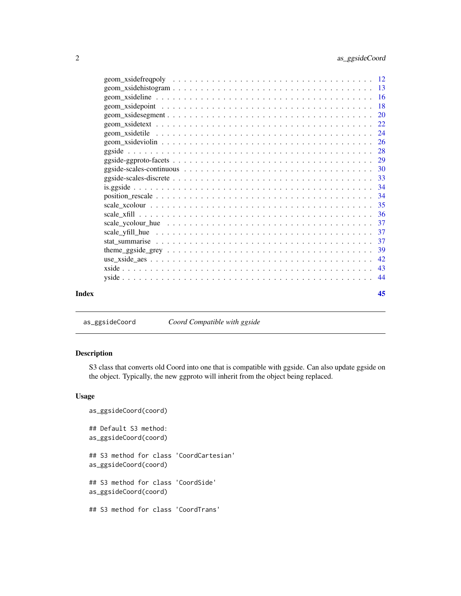<span id="page-1-0"></span>

| Index | 45 |
|-------|----|
|       |    |
|       |    |
|       |    |
|       |    |
|       |    |
|       |    |
|       |    |
|       |    |
|       |    |
|       |    |
|       |    |
|       |    |
|       |    |
|       |    |
|       |    |
|       |    |
|       |    |
|       |    |
|       |    |
|       |    |
|       |    |
|       |    |
|       |    |

as\_ggsideCoord *Coord Compatible with ggside*

# Description

S3 class that converts old Coord into one that is compatible with ggside. Can also update ggside on the object. Typically, the new ggproto will inherit from the object being replaced.

```
as_ggsideCoord(coord)
## Default S3 method:
as_ggsideCoord(coord)
## S3 method for class 'CoordCartesian'
as_ggsideCoord(coord)
## S3 method for class 'CoordSide'
as_ggsideCoord(coord)
## S3 method for class 'CoordTrans'
```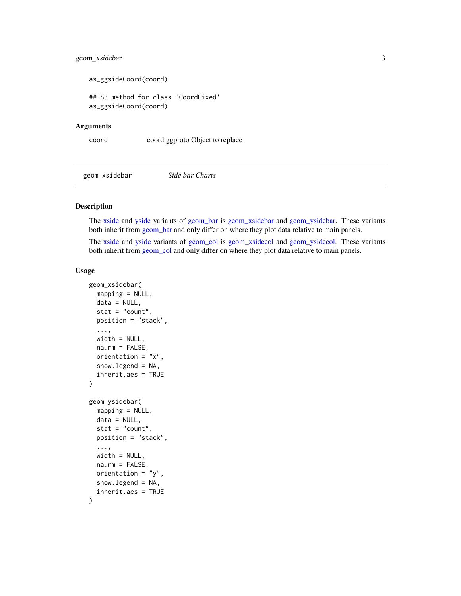# <span id="page-2-0"></span>geom\_xsidebar 3

```
as_ggsideCoord(coord)
```
## S3 method for class 'CoordFixed' as\_ggsideCoord(coord)

#### Arguments

coord coord ggproto Object to replace

<span id="page-2-1"></span>geom\_xsidebar *Side bar Charts*

# <span id="page-2-2"></span>**Description**

The [xside](#page-42-1) and [yside](#page-43-1) variants of [geom\\_bar](#page-0-0) is [geom\\_xsidebar](#page-2-1) and [geom\\_ysidebar.](#page-2-2) These variants both inherit from [geom\\_bar](#page-0-0) and only differ on where they plot data relative to main panels.

The [xside](#page-42-1) and [yside](#page-43-1) variants of [geom\\_col](#page-0-0) is [geom\\_xsidecol](#page-2-2) and [geom\\_ysidecol.](#page-2-2) These variants both inherit from [geom\\_col](#page-0-0) and only differ on where they plot data relative to main panels.

```
geom_xsidebar(
 mapping = NULL,
 data = NULL,stat = "count",
 position = "stack",
  ...,
 width = NULL,
 na.rm = FALSE,orientation = "x",
  show.legend = NA,
  inherit.aes = TRUE
)
geom_ysidebar(
 mapping = NULL,
 data = NULL,stat = "count",
 position = "stack",
  ...,
 width = NULL,
 na.rm = FALSE,
  orientation = "y",show.legend = NA,
  inherit.aes = TRUE
)
```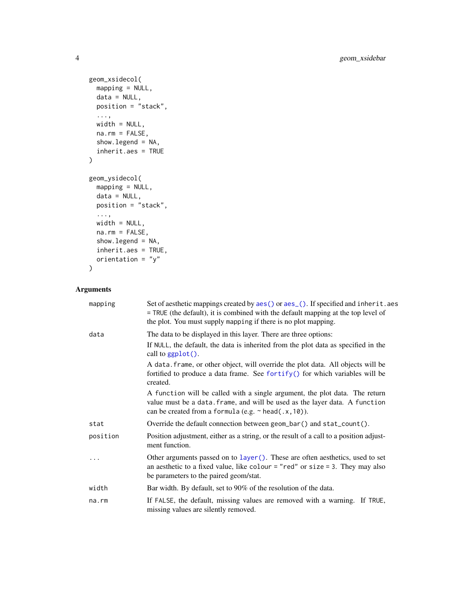```
geom_xsidecol(
 mapping = NULL,
 data = NULL,position = "stack",
  ...,
 width = NULL,
 na.rm = FALSE,
 show.legend = NA,
 inherit.aes = TRUE
\mathcal{L}geom_ysidecol(
 mapping = NULL,
 data = NULL,
 position = "stack",
  ...,
 width = NULL,
 na.rm = FALSE,show.legend = NA,
 inherit.aes = TRUE,
 orientation = "y")
```

| mapping  | Set of aesthetic mappings created by aes() or aes_(). If specified and inherit.aes<br>= TRUE (the default), it is combined with the default mapping at the top level of<br>the plot. You must supply mapping if there is no plot mapping. |
|----------|-------------------------------------------------------------------------------------------------------------------------------------------------------------------------------------------------------------------------------------------|
| data     | The data to be displayed in this layer. There are three options:                                                                                                                                                                          |
|          | If NULL, the default, the data is inherited from the plot data as specified in the<br>call to ggplot().                                                                                                                                   |
|          | A data. frame, or other object, will override the plot data. All objects will be<br>fortified to produce a data frame. See fortify() for which variables will be<br>created.                                                              |
|          | A function will be called with a single argument, the plot data. The return<br>value must be a data. frame, and will be used as the layer data. A function<br>can be created from a formula (e.g. $\sim$ head(.x, 10)).                   |
| stat     | Override the default connection between geom_bar() and stat_count().                                                                                                                                                                      |
| position | Position adjustment, either as a string, or the result of a call to a position adjust-<br>ment function.                                                                                                                                  |
|          | Other arguments passed on to layer (). These are often aesthetics, used to set<br>an aesthetic to a fixed value, like colour = "red" or size = 3. They may also<br>be parameters to the paired geom/stat.                                 |
| width    | Bar width. By default, set to 90% of the resolution of the data.                                                                                                                                                                          |
| na.rm    | If FALSE, the default, missing values are removed with a warning. If TRUE,<br>missing values are silently removed.                                                                                                                        |

<span id="page-3-0"></span>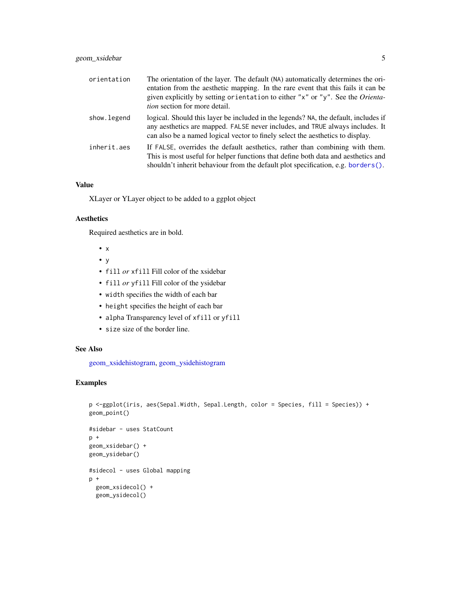<span id="page-4-0"></span>

| orientation | The orientation of the layer. The default (NA) automatically determines the ori-<br>entation from the aesthetic mapping. In the rare event that this fails it can be<br>given explicitly by setting orientation to either "x" or "y". See the Orienta-<br><i>tion</i> section for more detail. |
|-------------|------------------------------------------------------------------------------------------------------------------------------------------------------------------------------------------------------------------------------------------------------------------------------------------------|
| show.legend | logical. Should this layer be included in the legends? NA, the default, includes if<br>any aesthetics are mapped. FALSE never includes, and TRUE always includes. It<br>can also be a named logical vector to finely select the aesthetics to display.                                         |
| inherit.aes | If FALSE, overrides the default aesthetics, rather than combining with them.<br>This is most useful for helper functions that define both data and aesthetics and<br>shouldn't inherit behaviour from the default plot specification, e.g. borders().                                          |

XLayer or YLayer object to be added to a ggplot object

# Aesthetics

Required aesthetics are in bold.

- x
- y
- fill *or* xfill Fill color of the xsidebar
- fill *or* yfill Fill color of the ysidebar
- width specifies the width of each bar
- height specifies the height of each bar
- alpha Transparency level of xfill or yfill
- size size of the border line.

# See Also

[geom\\_xsidehistogram,](#page-12-1) [geom\\_ysidehistogram](#page-12-2)

```
p <-ggplot(iris, aes(Sepal.Width, Sepal.Length, color = Species, fill = Species)) +
geom_point()
#sidebar - uses StatCount
p +geom_xsidebar() +
geom_ysidebar()
#sidecol - uses Global mapping
p +geom_xsidecol() +
  geom_ysidecol()
```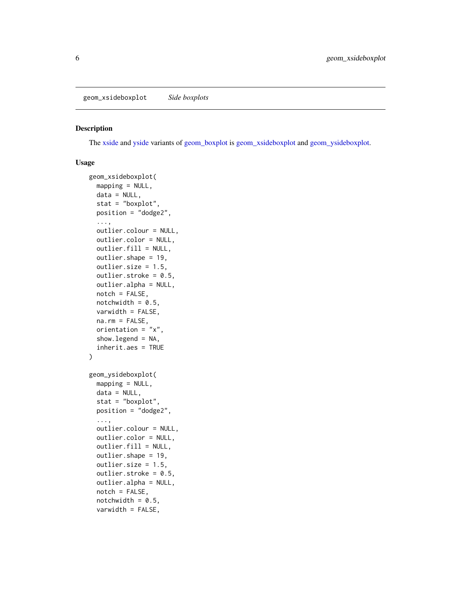# <span id="page-5-2"></span><span id="page-5-1"></span><span id="page-5-0"></span>Description

The [xside](#page-42-1) and [yside](#page-43-1) variants of [geom\\_boxplot](#page-0-0) is [geom\\_xsideboxplot](#page-5-1) and [geom\\_ysideboxplot.](#page-5-2)

```
geom_xsideboxplot(
 mapping = NULL,
 data = NULL,
  stat = "boxplot",
 position = "dodge2",
  ...,
 outlier.colour = NULL,
 outlier.color = NULL,
 outlier.fill = NULL,
  outlier.shape = 19,
 outlier.size = 1.5,
  outlier.stroke = 0.5,
 outlier.alpha = NULL,
  notch = FALSE,
 notchwidth = 0.5,
 varwidth = FALSE,
 na.rm = FALSE,orientation = "x",
  show. legend = NA,
  inherit.aes = TRUE
)
geom_ysideboxplot(
 mapping = NULL,
 data = NULL,stat = "boxplot",
 position = "dodge2",
  ...,
  outlier.colour = NULL,
 outlier.color = NULL,
 outlier.fill = NULL,
 outlier.shape = 19,
  outlier.size = 1.5,
  outlier.stroke = 0.5,
  outlier.alpha = NULL,
  notch = FALSE,notchwidth = 0.5,
  varwidth = FALSE,
```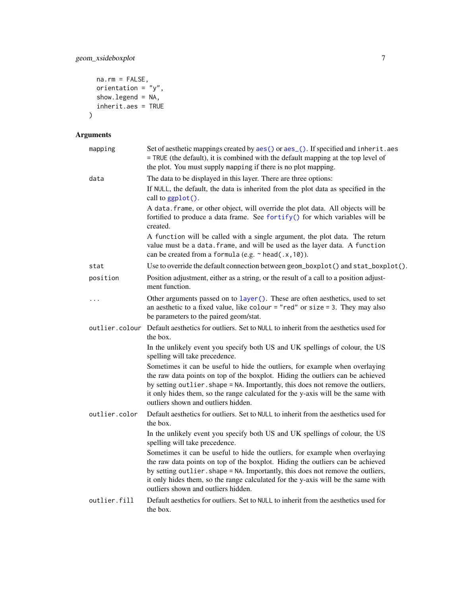```
na.rm = FALSE,
  orientation = "y",
  showu = NA,
  inherit.aes = TRUE
\overline{)}
```

| mapping        | Set of aesthetic mappings created by aes() or aes_(). If specified and inherit.aes<br>= TRUE (the default), it is combined with the default mapping at the top level of<br>the plot. You must supply mapping if there is no plot mapping.                                                                                                                                    |
|----------------|------------------------------------------------------------------------------------------------------------------------------------------------------------------------------------------------------------------------------------------------------------------------------------------------------------------------------------------------------------------------------|
| data           | The data to be displayed in this layer. There are three options:                                                                                                                                                                                                                                                                                                             |
|                | If NULL, the default, the data is inherited from the plot data as specified in the<br>call to ggplot().                                                                                                                                                                                                                                                                      |
|                | A data. frame, or other object, will override the plot data. All objects will be<br>fortified to produce a data frame. See fortify() for which variables will be<br>created.                                                                                                                                                                                                 |
|                | A function will be called with a single argument, the plot data. The return<br>value must be a data. frame, and will be used as the layer data. A function<br>can be created from a formula (e.g. $\sim$ head(.x, 10)).                                                                                                                                                      |
| stat           | Use to override the default connection between geom_boxplot() and stat_boxplot().                                                                                                                                                                                                                                                                                            |
| position       | Position adjustment, either as a string, or the result of a call to a position adjust-<br>ment function.                                                                                                                                                                                                                                                                     |
| $\cdots$       | Other arguments passed on to layer (). These are often aesthetics, used to set<br>an aesthetic to a fixed value, like colour = "red" or size = 3. They may also<br>be parameters to the paired geom/stat.                                                                                                                                                                    |
| outlier.colour | Default aesthetics for outliers. Set to NULL to inherit from the aesthetics used for<br>the box.                                                                                                                                                                                                                                                                             |
|                | In the unlikely event you specify both US and UK spellings of colour, the US<br>spelling will take precedence.                                                                                                                                                                                                                                                               |
|                | Sometimes it can be useful to hide the outliers, for example when overlaying<br>the raw data points on top of the boxplot. Hiding the outliers can be achieved<br>by setting outlier. shape = NA. Importantly, this does not remove the outliers,<br>it only hides them, so the range calculated for the y-axis will be the same with<br>outliers shown and outliers hidden. |
| outlier.color  | Default aesthetics for outliers. Set to NULL to inherit from the aesthetics used for<br>the box.                                                                                                                                                                                                                                                                             |
|                | In the unlikely event you specify both US and UK spellings of colour, the US<br>spelling will take precedence.                                                                                                                                                                                                                                                               |
|                | Sometimes it can be useful to hide the outliers, for example when overlaying<br>the raw data points on top of the boxplot. Hiding the outliers can be achieved<br>by setting outlier. shape = NA. Importantly, this does not remove the outliers,<br>it only hides them, so the range calculated for the y-axis will be the same with<br>outliers shown and outliers hidden. |
| outlier.fill   | Default aesthetics for outliers. Set to NULL to inherit from the aesthetics used for<br>the box.                                                                                                                                                                                                                                                                             |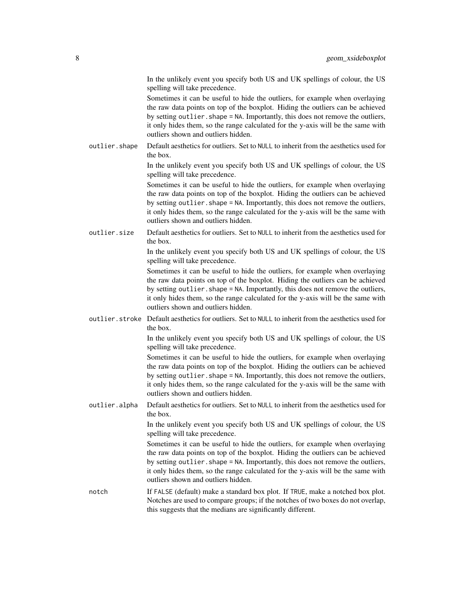In the unlikely event you specify both US and UK spellings of colour, the US spelling will take precedence.

Sometimes it can be useful to hide the outliers, for example when overlaying the raw data points on top of the boxplot. Hiding the outliers can be achieved by setting outlier. shape = NA. Importantly, this does not remove the outliers, it only hides them, so the range calculated for the y-axis will be the same with outliers shown and outliers hidden.

outlier.shape Default aesthetics for outliers. Set to NULL to inherit from the aesthetics used for the box.

> In the unlikely event you specify both US and UK spellings of colour, the US spelling will take precedence.

> Sometimes it can be useful to hide the outliers, for example when overlaying the raw data points on top of the boxplot. Hiding the outliers can be achieved by setting outlier. shape = NA. Importantly, this does not remove the outliers, it only hides them, so the range calculated for the y-axis will be the same with outliers shown and outliers hidden.

outlier.size Default aesthetics for outliers. Set to NULL to inherit from the aesthetics used for the box.

> In the unlikely event you specify both US and UK spellings of colour, the US spelling will take precedence.

> Sometimes it can be useful to hide the outliers, for example when overlaying the raw data points on top of the boxplot. Hiding the outliers can be achieved by setting outlier. shape = NA. Importantly, this does not remove the outliers, it only hides them, so the range calculated for the y-axis will be the same with outliers shown and outliers hidden.

outlier.stroke Default aesthetics for outliers. Set to NULL to inherit from the aesthetics used for the box.

> In the unlikely event you specify both US and UK spellings of colour, the US spelling will take precedence.

> Sometimes it can be useful to hide the outliers, for example when overlaying the raw data points on top of the boxplot. Hiding the outliers can be achieved by setting outlier. shape = NA. Importantly, this does not remove the outliers, it only hides them, so the range calculated for the y-axis will be the same with outliers shown and outliers hidden.

outlier.alpha Default aesthetics for outliers. Set to NULL to inherit from the aesthetics used for the box.

> In the unlikely event you specify both US and UK spellings of colour, the US spelling will take precedence.

> Sometimes it can be useful to hide the outliers, for example when overlaying the raw data points on top of the boxplot. Hiding the outliers can be achieved by setting outlier. shape = NA. Importantly, this does not remove the outliers, it only hides them, so the range calculated for the y-axis will be the same with outliers shown and outliers hidden.

notch If FALSE (default) make a standard box plot. If TRUE, make a notched box plot. Notches are used to compare groups; if the notches of two boxes do not overlap, this suggests that the medians are significantly different.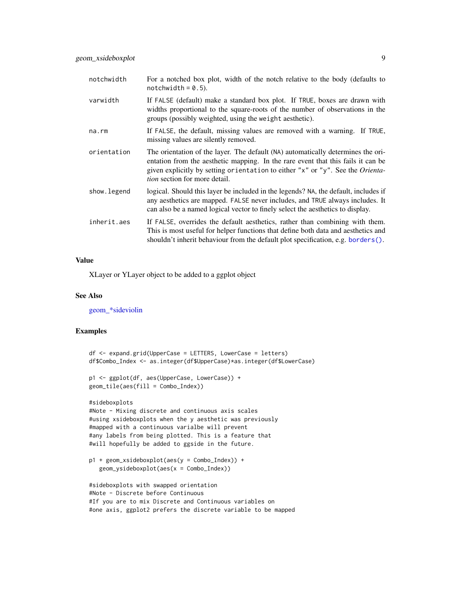<span id="page-8-0"></span>

| notchwidth  | For a notched box plot, width of the notch relative to the body (defaults to<br>$notchwidth = 0.5$ ).                                                                                                                                                                                          |
|-------------|------------------------------------------------------------------------------------------------------------------------------------------------------------------------------------------------------------------------------------------------------------------------------------------------|
| varwidth    | If FALSE (default) make a standard box plot. If TRUE, boxes are drawn with<br>widths proportional to the square-roots of the number of observations in the<br>groups (possibly weighted, using the weight aesthetic).                                                                          |
| na.rm       | If FALSE, the default, missing values are removed with a warning. If TRUE,<br>missing values are silently removed.                                                                                                                                                                             |
| orientation | The orientation of the layer. The default (NA) automatically determines the ori-<br>entation from the aesthetic mapping. In the rare event that this fails it can be<br>given explicitly by setting orientation to either "x" or "y". See the Orienta-<br><i>tion</i> section for more detail. |
| show.legend | logical. Should this layer be included in the legends? NA, the default, includes if<br>any aesthetics are mapped. FALSE never includes, and TRUE always includes. It<br>can also be a named logical vector to finely select the aesthetics to display.                                         |
| inherit.aes | If FALSE, overrides the default aesthetics, rather than combining with them.<br>This is most useful for helper functions that define both data and aesthetics and<br>shouldn't inherit behaviour from the default plot specification, e.g. borders().                                          |

XLayer or YLayer object to be added to a ggplot object

#### See Also

[geom\\_\\*sideviolin](#page-25-1)

```
df <- expand.grid(UpperCase = LETTERS, LowerCase = letters)
df$Combo_Index <- as.integer(df$UpperCase)*as.integer(df$LowerCase)
p1 <- ggplot(df, aes(UpperCase, LowerCase)) +
geom_tile(aes(fill = Combo_Index))
#sideboxplots
#Note - Mixing discrete and continuous axis scales
#using xsideboxplots when the y aesthetic was previously
#mapped with a continuous varialbe will prevent
#any labels from being plotted. This is a feature that
#will hopefully be added to ggside in the future.
p1 + geom_xsideboxplot(aes(y = Combo_Index)) +
  geom_ysideboxplot(aes(x = Combo_Index))
#sideboxplots with swapped orientation
#Note - Discrete before Continuous
#If you are to mix Discrete and Continuous variables on
```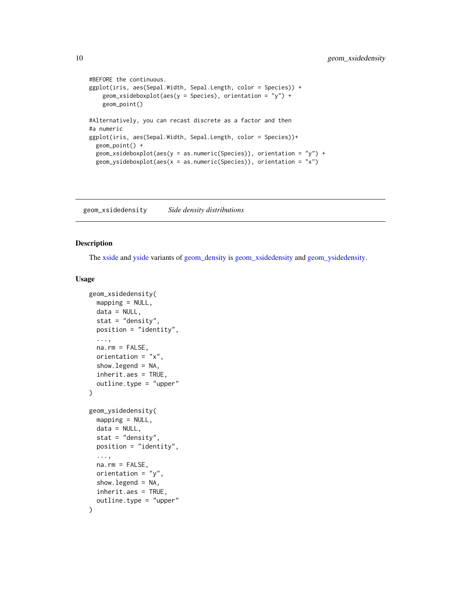```
#BEFORE the continuous.
ggplot(iris, aes(Sepal.Width, Sepal.Length, color = Species)) +
   geom_xsideboxplot(aes(y = Species), orientation = "y") +
   geom_point()
#Alternatively, you can recast discrete as a factor and then
#a numeric
ggplot(iris, aes(Sepal.Width, Sepal.Length, color = Species))+
 geom_point() +
 geom_xsideboxplot(aes(y = as.numeric(Species)), orientation = "y") +
 geom_ysideboxplot(aes(x = as.numeric(Species)), orientation = "x")
```
<span id="page-9-1"></span>geom\_xsidedensity *Side density distributions*

#### <span id="page-9-2"></span>Description

The [xside](#page-42-1) and [yside](#page-43-1) variants of [geom\\_density](#page-0-0) is [geom\\_xsidedensity](#page-9-1) and [geom\\_ysidedensity.](#page-9-2)

```
geom_xsidedensity(
 mapping = NULL,
  data = NULL,
  stat = "density",
  position = "identity",
  ...,
  na.rm = FALSE,orientation = "x",show.legend = NA,
  inherit.aes = TRUE,
  outline.type = "upper"
)
geom_ysidedensity(
 mapping = NULL,
  data = NULL,stat = "density",
 position = "identity",
  ...,
  na.rm = FALSE,
  orientation = "y",
  show.legend = NA,
  inherit.aes = TRUE,
  outline.type = "upper"
)
```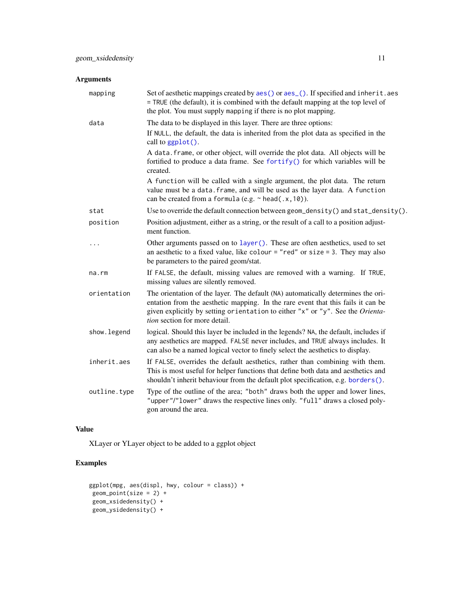# <span id="page-10-0"></span>Arguments

| mapping      | Set of aesthetic mappings created by aes() or aes_(). If specified and inherit.aes<br>= TRUE (the default), it is combined with the default mapping at the top level of<br>the plot. You must supply mapping if there is no plot mapping.                                               |
|--------------|-----------------------------------------------------------------------------------------------------------------------------------------------------------------------------------------------------------------------------------------------------------------------------------------|
| data         | The data to be displayed in this layer. There are three options:                                                                                                                                                                                                                        |
|              | If NULL, the default, the data is inherited from the plot data as specified in the<br>call to ggplot().                                                                                                                                                                                 |
|              | A data. frame, or other object, will override the plot data. All objects will be<br>fortified to produce a data frame. See fortify() for which variables will be<br>created.                                                                                                            |
|              | A function will be called with a single argument, the plot data. The return<br>value must be a data. frame, and will be used as the layer data. A function<br>can be created from a formula (e.g. $\sim$ head(.x, 10)).                                                                 |
| stat         | Use to override the default connection between geom_density() and stat_density().                                                                                                                                                                                                       |
| position     | Position adjustment, either as a string, or the result of a call to a position adjust-<br>ment function.                                                                                                                                                                                |
| $\ddots$     | Other arguments passed on to layer (). These are often aesthetics, used to set<br>an aesthetic to a fixed value, like colour = "red" or size = 3. They may also<br>be parameters to the paired geom/stat.                                                                               |
| na.rm        | If FALSE, the default, missing values are removed with a warning. If TRUE,<br>missing values are silently removed.                                                                                                                                                                      |
| orientation  | The orientation of the layer. The default (NA) automatically determines the ori-<br>entation from the aesthetic mapping. In the rare event that this fails it can be<br>given explicitly by setting orientation to either "x" or "y". See the Orienta-<br>tion section for more detail. |
| show. legend | logical. Should this layer be included in the legends? NA, the default, includes if<br>any aesthetics are mapped. FALSE never includes, and TRUE always includes. It<br>can also be a named logical vector to finely select the aesthetics to display.                                  |
| inherit.aes  | If FALSE, overrides the default aesthetics, rather than combining with them.<br>This is most useful for helper functions that define both data and aesthetics and<br>shouldn't inherit behaviour from the default plot specification, e.g. borders().                                   |
| outline.type | Type of the outline of the area; "both" draws both the upper and lower lines,<br>"upper"/"lower" draws the respective lines only. "full" draws a closed poly-<br>gon around the area.                                                                                                   |
|              |                                                                                                                                                                                                                                                                                         |

# Value

XLayer or YLayer object to be added to a ggplot object

```
ggplot(mpg, aes(displ, hwy, colour = class)) +
geom_point(size = 2) +
geom_xsidedensity() +
geom_ysidedensity() +
```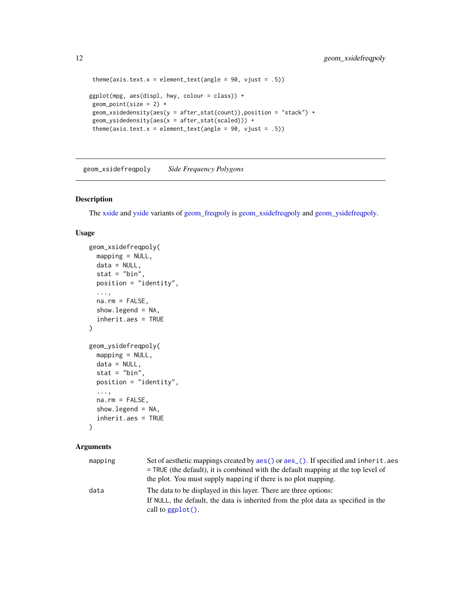```
theme(axis.text.x = element_text(angle = 90, vjust = .5))
ggplot(mpg, aes(displ, hwy, colour = class)) +
geom\_point(size = 2) +geom_xsidedensity(aes(y = after_stat(count)),position = "stack") +
geom_ysidedensity(aes(x = after_stat(scaled))) +
theme(axis.text.x = element_text(angle = 90, vjust = .5))
```
<span id="page-11-1"></span>geom\_xsidefreqpoly *Side Frequency Polygons*

# <span id="page-11-2"></span>Description

The [xside](#page-42-1) and [yside](#page-43-1) variants of [geom\\_freqpoly](#page-0-0) is [geom\\_xsidefreqpoly](#page-11-1) and [geom\\_ysidefreqpoly.](#page-11-2)

# Usage

```
geom_xsidefreqpoly(
 mapping = NULL,
 data = NULL,stat = "bin",position = "identity",
  ...,
  na.rm = FALSE,show.legend = NA,
  inherit.aes = TRUE
\lambdageom_ysidefreqpoly(
 mapping = NULL,
  data = NULL,
  stat = "bin",position = "identity",
  ...,
 na.rm = FALSE,
  show.legend = NA,
  inherit.aes = TRUE
\lambda
```

| mapping | Set of aesthetic mappings created by aes () or aes (). If specified and inherit, aes |
|---------|--------------------------------------------------------------------------------------|
|         | $=$ TRUE (the default), it is combined with the default mapping at the top level of  |
|         | the plot. You must supply mapping if there is no plot mapping.                       |
| data    | The data to be displayed in this layer. There are three options:                     |
|         | If NULL, the default, the data is inherited from the plot data as specified in the   |
|         | call to $\text{gplot}()$ .                                                           |

<span id="page-11-0"></span>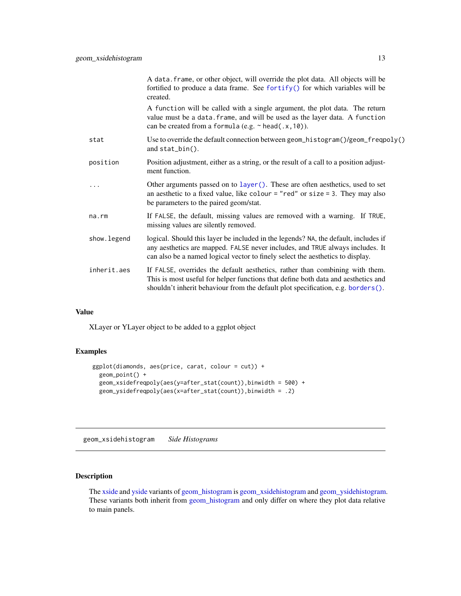<span id="page-12-0"></span>

|             | A data. frame, or other object, will override the plot data. All objects will be<br>fortified to produce a data frame. See fortify() for which variables will be<br>created.                                                                           |
|-------------|--------------------------------------------------------------------------------------------------------------------------------------------------------------------------------------------------------------------------------------------------------|
|             | A function will be called with a single argument, the plot data. The return<br>value must be a data. frame, and will be used as the layer data. A function<br>can be created from a formula (e.g. $\sim$ head(.x, 10)).                                |
| stat        | Use to override the default connection between geom_histogram()/geom_freqpoly()<br>and stat_bin().                                                                                                                                                     |
| position    | Position adjustment, either as a string, or the result of a call to a position adjust-<br>ment function.                                                                                                                                               |
| .           | Other arguments passed on to layer (). These are often aesthetics, used to set<br>an aesthetic to a fixed value, like colour = "red" or size = 3. They may also<br>be parameters to the paired geom/stat.                                              |
| na.rm       | If FALSE, the default, missing values are removed with a warning. If TRUE,<br>missing values are silently removed.                                                                                                                                     |
| show.legend | logical. Should this layer be included in the legends? NA, the default, includes if<br>any aesthetics are mapped. FALSE never includes, and TRUE always includes. It<br>can also be a named logical vector to finely select the aesthetics to display. |
| inherit.aes | If FALSE, overrides the default aesthetics, rather than combining with them.<br>This is most useful for helper functions that define both data and aesthetics and<br>shouldn't inherit behaviour from the default plot specification, e.g. borders().  |
|             |                                                                                                                                                                                                                                                        |

XLayer or YLayer object to be added to a ggplot object

# Examples

```
ggplot(diamonds, aes(price, carat, colour = cut)) +
 geom_point() +
  geom_xsidefreqpoly(aes(y=after_stat(count)),binwidth = 500) +
  geom_ysidefreqpoly(aes(x=after_stat(count)),binwidth = .2)
```
<span id="page-12-1"></span>geom\_xsidehistogram *Side Histograms*

# <span id="page-12-2"></span>Description

The [xside](#page-42-1) and [yside](#page-43-1) variants of [geom\\_histogram](#page-0-0) is [geom\\_xsidehistogram](#page-12-1) and [geom\\_ysidehistogram.](#page-12-2) These variants both inherit from [geom\\_histogram](#page-0-0) and only differ on where they plot data relative to main panels.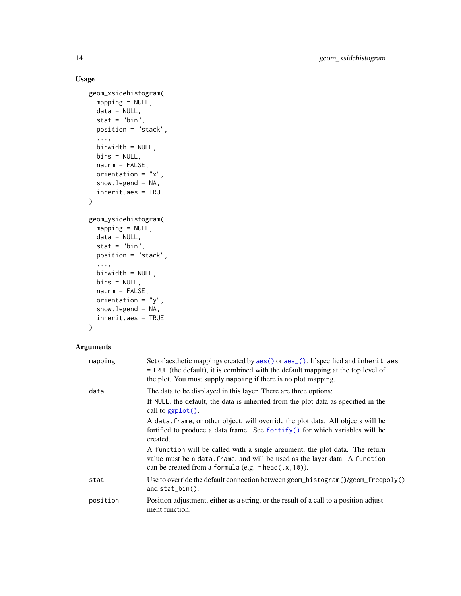# Usage

```
geom_xsidehistogram(
 mapping = NULL,
 data = NULL,
 stat = "bin",position = "stack",
  ...,
 binwidth = NULL,
 bins = NULL,
 na.rm = FALSE,
 orientation = "x",show.legend = NA,
  inherit.aes = TRUE
)
geom_ysidehistogram(
 mapping = NULL,
 data = NULL,stat = "bin",position = "stack",
  ...,
 binwidth = NULL,
 bins = NULL,
 na.rm = FALSE,
 orientation = "y",
  show.legend = NA,
  inherit.aes = TRUE
\mathcal{L}
```

| mapping  | Set of aesthetic mappings created by $aes()$ or $aes()$ . If specified and inherit. aes<br>= TRUE (the default), it is combined with the default mapping at the top level of<br>the plot. You must supply mapping if there is no plot mapping. |
|----------|------------------------------------------------------------------------------------------------------------------------------------------------------------------------------------------------------------------------------------------------|
| data     | The data to be displayed in this layer. There are three options:                                                                                                                                                                               |
|          | If NULL, the default, the data is inherited from the plot data as specified in the<br>call to $ggplot()$ .                                                                                                                                     |
|          | A data frame, or other object, will override the plot data. All objects will be<br>fortified to produce a data frame. See fortify() for which variables will be<br>created.                                                                    |
|          | A function will be called with a single argument, the plot data. The return<br>value must be a data. frame, and will be used as the layer data. A function<br>can be created from a formula (e.g. $\sim$ head(.x, 10)).                        |
| stat     | Use to override the default connection between geom_histogram()/geom_freqpoly()<br>and $stat\_bin()$ .                                                                                                                                         |
| position | Position adjustment, either as a string, or the result of a call to a position adjust-<br>ment function.                                                                                                                                       |

<span id="page-13-0"></span>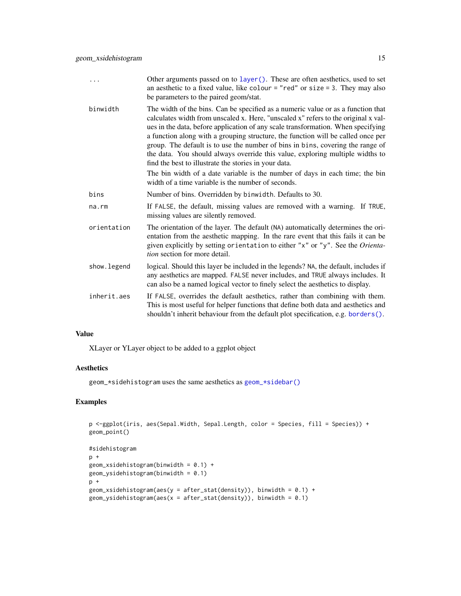- <span id="page-14-0"></span>... Other arguments passed on to [layer\(\)](#page-0-0). These are often aesthetics, used to set an aesthetic to a fixed value, like colour  $=$  "red" or size  $= 3$ . They may also be parameters to the paired geom/stat.
- binwidth The width of the bins. Can be specified as a numeric value or as a function that calculates width from unscaled x. Here, "unscaled x" refers to the original x values in the data, before application of any scale transformation. When specifying a function along with a grouping structure, the function will be called once per group. The default is to use the number of bins in bins, covering the range of the data. You should always override this value, exploring multiple widths to find the best to illustrate the stories in your data.
	- The bin width of a date variable is the number of days in each time; the bin width of a time variable is the number of seconds.
- bins Number of bins. Overridden by binwidth. Defaults to 30.
- na.rm If FALSE, the default, missing values are removed with a warning. If TRUE, missing values are silently removed.
- orientation The orientation of the layer. The default (NA) automatically determines the orientation from the aesthetic mapping. In the rare event that this fails it can be given explicitly by setting orientation to either "x" or "y". See the *Orientation* section for more detail.
- show. Legend logical. Should this layer be included in the legends? NA, the default, includes if any aesthetics are mapped. FALSE never includes, and TRUE always includes. It can also be a named logical vector to finely select the aesthetics to display.
- inherit.aes If FALSE, overrides the default aesthetics, rather than combining with them. This is most useful for helper functions that define both data and aesthetics and shouldn't inherit behaviour from the default plot specification, e.g. [borders\(\)](#page-0-0).

XLayer or YLayer object to be added to a ggplot object

### **Aesthetics**

geom\_\*sidehistogram uses the same aesthetics as [geom\\_\\*sidebar\(\)](#page-2-2)

```
p <-ggplot(iris, aes(Sepal.Width, Sepal.Length, color = Species, fill = Species)) +
geom_point()
#sidehistogram
p +geom\_xsidehistogram(binwidth = 0.1) +
geom_ysidehistogram(binwidth = 0.1)p +geom_xsidehistogram(aes(y = after_stat(density)), binwidth = 0.1) +
geom_ysidehistogram(aes(x = after_stat(density)), binwidth = 0.1)
```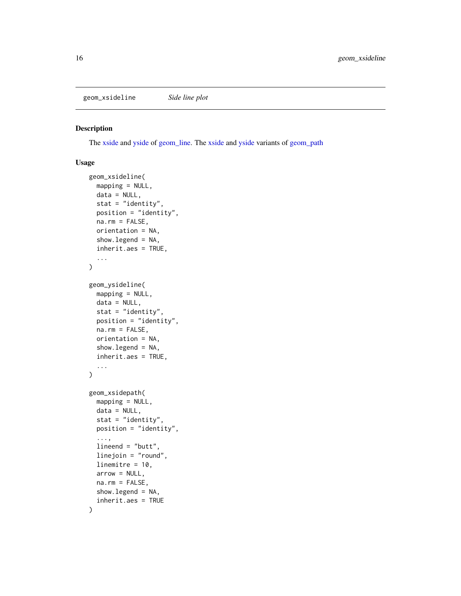<span id="page-15-1"></span><span id="page-15-0"></span>geom\_xsideline *Side line plot*

# <span id="page-15-2"></span>Description

The [xside](#page-42-1) and [yside](#page-43-1) of [geom\\_line.](#page-0-0) The [xside](#page-42-1) and [yside](#page-43-1) variants of [geom\\_path](#page-0-0)

```
geom_xsideline(
  mapping = NULL,
  data = NULL,
  stat = "identity",
 position = "identity",
 na.rm = FALSE,
  orientation = NA,
  show.legend = NA,
  inherit.aes = TRUE,
  ...
)
geom_ysideline(
  mapping = NULL,
 data = NULL,
  stat = "identity",
 position = "identity",
  na.rm = FALSE,
  orientation = NA,
  show.legend = NA,
  inherit.aes = TRUE,
  ...
)
geom_xsidepath(
 mapping = NULL,
  data = NULL,stat = "identity",
  position = "identity",
  ...,
  lineend = "butt",
  linejoin = "round",
  linemitre = 10.
  arrow = NULL,
  na.rm = FALSE,
  show.legend = NA,
  inherit.aes = TRUE
)
```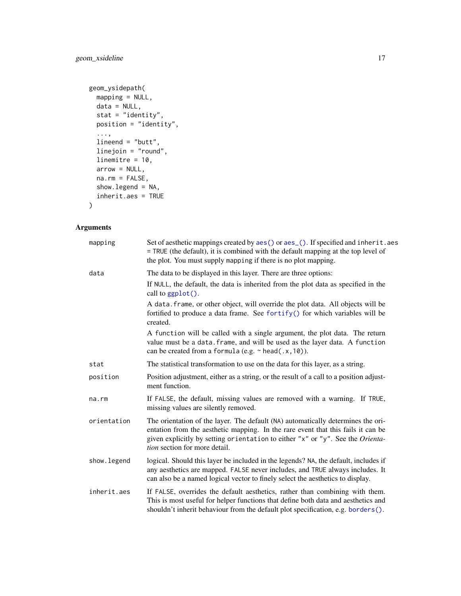```
geom_ysidepath(
 mapping = NULL,
 data = NULL,stat = "identity",
 position = "identity",
  ...,
 lineend = "butt",
 linejoin = "round",
 linemitre = 10,
 arrow = NULL,
 na.rm = FALSE,
 show.legend = NA,
 inherit.aes = TRUE
\mathcal{L}
```

| mapping     | Set of aesthetic mappings created by aes() or aes_(). If specified and inherit.aes<br>= TRUE (the default), it is combined with the default mapping at the top level of<br>the plot. You must supply mapping if there is no plot mapping.                                               |
|-------------|-----------------------------------------------------------------------------------------------------------------------------------------------------------------------------------------------------------------------------------------------------------------------------------------|
| data        | The data to be displayed in this layer. There are three options:                                                                                                                                                                                                                        |
|             | If NULL, the default, the data is inherited from the plot data as specified in the<br>call to ggplot().                                                                                                                                                                                 |
|             | A data. frame, or other object, will override the plot data. All objects will be<br>fortified to produce a data frame. See fortify() for which variables will be<br>created.                                                                                                            |
|             | A function will be called with a single argument, the plot data. The return<br>value must be a data. frame, and will be used as the layer data. A function<br>can be created from a formula (e.g. $\sim$ head(.x, 10)).                                                                 |
| stat        | The statistical transformation to use on the data for this layer, as a string.                                                                                                                                                                                                          |
| position    | Position adjustment, either as a string, or the result of a call to a position adjust-<br>ment function.                                                                                                                                                                                |
| $na$ . $rm$ | If FALSE, the default, missing values are removed with a warning. If TRUE,<br>missing values are silently removed.                                                                                                                                                                      |
| orientation | The orientation of the layer. The default (NA) automatically determines the ori-<br>entation from the aesthetic mapping. In the rare event that this fails it can be<br>given explicitly by setting orientation to either "x" or "y". See the Orienta-<br>tion section for more detail. |
| show.legend | logical. Should this layer be included in the legends? NA, the default, includes if<br>any aesthetics are mapped. FALSE never includes, and TRUE always includes. It<br>can also be a named logical vector to finely select the aesthetics to display.                                  |
| inherit.aes | If FALSE, overrides the default aesthetics, rather than combining with them.<br>This is most useful for helper functions that define both data and aesthetics and<br>shouldn't inherit behaviour from the default plot specification, e.g. borders().                                   |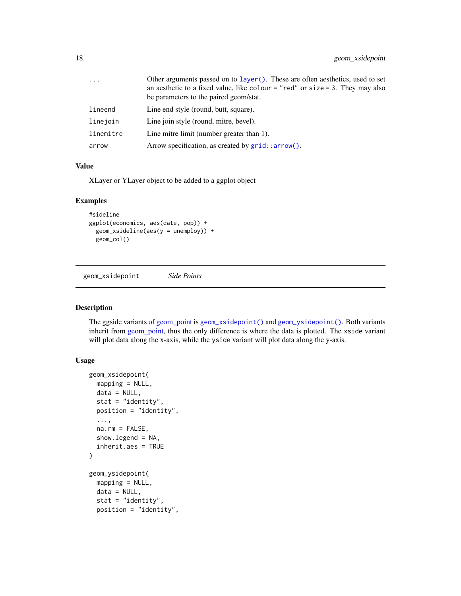<span id="page-17-0"></span>

| $\ddots$ . | Other arguments passed on to layer(). These are often aesthetics, used to set<br>an aesthetic to a fixed value, like colour = "red" or size = 3. They may also<br>be parameters to the paired geom/stat. |
|------------|----------------------------------------------------------------------------------------------------------------------------------------------------------------------------------------------------------|
| lineend    | Line end style (round, butt, square).                                                                                                                                                                    |
| linejoin   | Line join style (round, mitre, bevel).                                                                                                                                                                   |
| linemitre  | Line mitre limit (number greater than 1).                                                                                                                                                                |
| arrow      | Arrow specification, as created by $grid::arrow()$ .                                                                                                                                                     |

XLayer or YLayer object to be added to a ggplot object

#### Examples

```
#sideline
ggplot(economics, aes(date, pop)) +
  geom_xsideline(aes(y = unemploy)) +
  geom_col()
```
<span id="page-17-1"></span>geom\_xsidepoint *Side Points*

# <span id="page-17-2"></span>Description

The ggside variants of [geom\\_point](#page-0-0) is [geom\\_xsidepoint\(\)](#page-17-1) and [geom\\_ysidepoint\(\)](#page-17-2). Both variants inherit from [geom\\_point,](#page-0-0) thus the only difference is where the data is plotted. The xside variant will plot data along the x-axis, while the yside variant will plot data along the y-axis.

```
geom_xsidepoint(
 mapping = NULL,
  data = NULL,stat = "identity",
 position = "identity",
  ...,
  na.rm = FALSE,show.legend = NA,
  inherit.aes = TRUE
\mathcal{L}geom_ysidepoint(
 mapping = NULL,
  data = NULL,stat = "identity",
  position = "identity",
```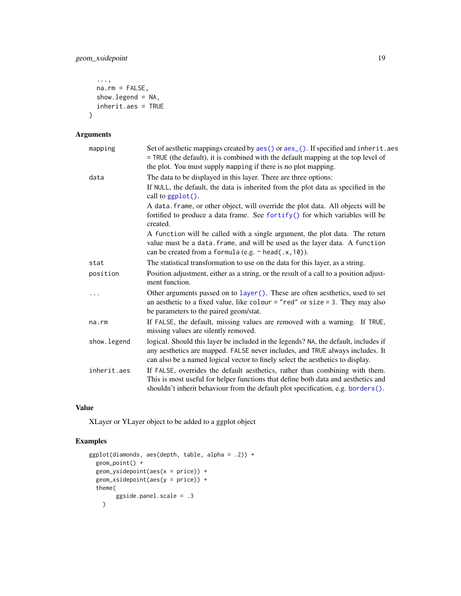```
...,
na.rm = FALSE,
show.legend = NA,
inherit.aes = TRUE
```
# Arguments

 $\mathcal{L}$ 

| mapping      | Set of aesthetic mappings created by aes() or aes_(). If specified and inherit.aes<br>= TRUE (the default), it is combined with the default mapping at the top level of<br>the plot. You must supply mapping if there is no plot mapping.              |
|--------------|--------------------------------------------------------------------------------------------------------------------------------------------------------------------------------------------------------------------------------------------------------|
| data         | The data to be displayed in this layer. There are three options:                                                                                                                                                                                       |
|              | If NULL, the default, the data is inherited from the plot data as specified in the<br>call to ggplot().                                                                                                                                                |
|              | A data. frame, or other object, will override the plot data. All objects will be<br>fortified to produce a data frame. See fortify() for which variables will be<br>created.                                                                           |
|              | A function will be called with a single argument, the plot data. The return<br>value must be a data. frame, and will be used as the layer data. A function<br>can be created from a formula (e.g. $\sim$ head(.x, 10)).                                |
| stat         | The statistical transformation to use on the data for this layer, as a string.                                                                                                                                                                         |
| position     | Position adjustment, either as a string, or the result of a call to a position adjust-<br>ment function.                                                                                                                                               |
| $\ddots$     | Other arguments passed on to layer (). These are often aesthetics, used to set<br>an aesthetic to a fixed value, like colour = "red" or size = 3. They may also<br>be parameters to the paired geom/stat.                                              |
| na.rm        | If FALSE, the default, missing values are removed with a warning. If TRUE,<br>missing values are silently removed.                                                                                                                                     |
| show. legend | logical. Should this layer be included in the legends? NA, the default, includes if<br>any aesthetics are mapped. FALSE never includes, and TRUE always includes. It<br>can also be a named logical vector to finely select the aesthetics to display. |
| inherit.aes  | If FALSE, overrides the default aesthetics, rather than combining with them.<br>This is most useful for helper functions that define both data and aesthetics and<br>shouldn't inherit behaviour from the default plot specification, e.g. borders().  |

#### Value

XLayer or YLayer object to be added to a ggplot object

```
ggplot(diamonds, aes(depth, table, alpha = .2)) +
  geom_point() +
  geom_ysidepoint(aes(x = price)) +
  geom_xsidepoint(aes(y = price)) +
  theme(
        ggside.panel.scale = .3
   \lambda
```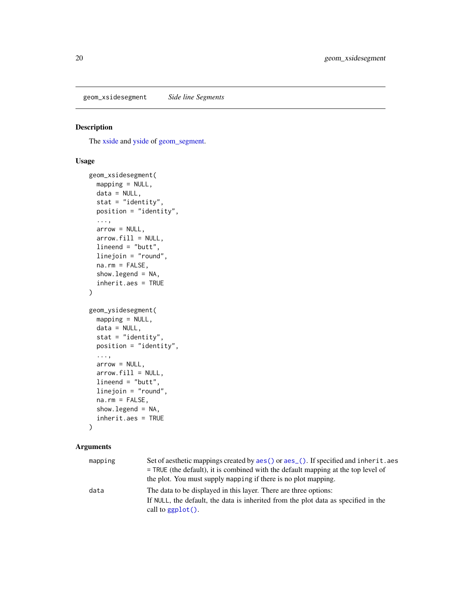<span id="page-19-0"></span>geom\_xsidesegment *Side line Segments*

#### Description

The [xside](#page-42-1) and [yside](#page-43-1) of [geom\\_segment.](#page-0-0)

# Usage

```
geom_xsidesegment(
 mapping = NULL,
 data = NULL,
  stat = "identity",
 position = "identity",
  ...,
  arrow = NULL,
  arrow.fill = NULL,
  lineend = "butt",
  linejoin = "round",
  na.rm = FALSE,show.legend = NA,
  inherit.aes = TRUE
)
geom_ysidesegment(
 mapping = NULL,
 data = NULL,stat = "identity",
 position = "identity",
  ...,
  arrow = NULL,
  arrow.fill = NULL,
  lineend = "butt",
  linejoin = "round",
 na.rm = FALSE,
  show.legend = NA,
  inherit.aes = TRUE
\lambda
```

| mapping | Set of aesthetic mappings created by aes () or aes (). If specified and inherit. aes |
|---------|--------------------------------------------------------------------------------------|
|         | $=$ TRUE (the default), it is combined with the default mapping at the top level of  |
|         | the plot. You must supply mapping if there is no plot mapping.                       |
| data    | The data to be displayed in this layer. There are three options:                     |
|         | If NULL, the default, the data is inherited from the plot data as specified in the   |
|         | call to $ggplot()$ .                                                                 |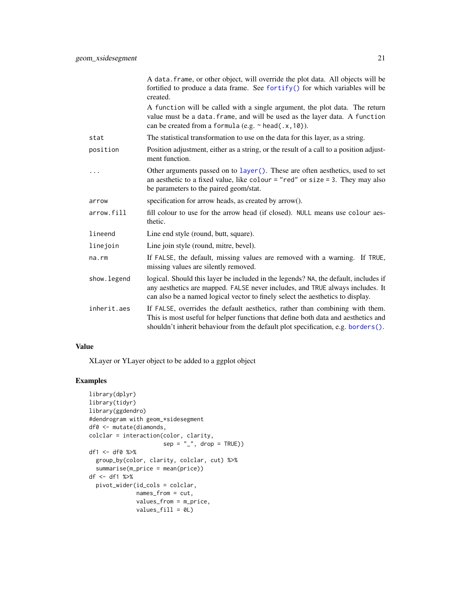<span id="page-20-0"></span>

|              | A data. frame, or other object, will override the plot data. All objects will be<br>fortified to produce a data frame. See fortify() for which variables will be<br>created.                                                                           |
|--------------|--------------------------------------------------------------------------------------------------------------------------------------------------------------------------------------------------------------------------------------------------------|
|              | A function will be called with a single argument, the plot data. The return<br>value must be a data. frame, and will be used as the layer data. A function<br>can be created from a formula (e.g. $\sim$ head(.x, 10)).                                |
| stat         | The statistical transformation to use on the data for this layer, as a string.                                                                                                                                                                         |
| position     | Position adjustment, either as a string, or the result of a call to a position adjust-<br>ment function.                                                                                                                                               |
|              | Other arguments passed on to layer (). These are often aesthetics, used to set<br>an aesthetic to a fixed value, like colour = "red" or size = 3. They may also<br>be parameters to the paired geom/stat.                                              |
| arrow        | specification for arrow heads, as created by arrow().                                                                                                                                                                                                  |
| arrow.fill   | fill colour to use for the arrow head (if closed). NULL means use colour aes-<br>thetic.                                                                                                                                                               |
| lineend      | Line end style (round, butt, square).                                                                                                                                                                                                                  |
| linejoin     | Line join style (round, mitre, bevel).                                                                                                                                                                                                                 |
| $na$ . $rm$  | If FALSE, the default, missing values are removed with a warning. If TRUE,<br>missing values are silently removed.                                                                                                                                     |
| show. legend | logical. Should this layer be included in the legends? NA, the default, includes if<br>any aesthetics are mapped. FALSE never includes, and TRUE always includes. It<br>can also be a named logical vector to finely select the aesthetics to display. |
| inherit.aes  | If FALSE, overrides the default aesthetics, rather than combining with them.<br>This is most useful for helper functions that define both data and aesthetics and<br>shouldn't inherit behaviour from the default plot specification, e.g. borders().  |

XLayer or YLayer object to be added to a ggplot object

```
library(dplyr)
library(tidyr)
library(ggdendro)
#dendrogram with geom_*sidesegment
df0 <- mutate(diamonds,
colclar = interaction(color, clarity,
                     sep = "''', drop = TRUE)df1 <- df0 %>%
  group_by(color, clarity, colclar, cut) %>%
  summarise(m_price = mean(price))
df <- df1 %>%
  pivot_wider(id_cols = colclar,
             names_from = cut,
              values_from = m_price,
              values_fill = 0L)
```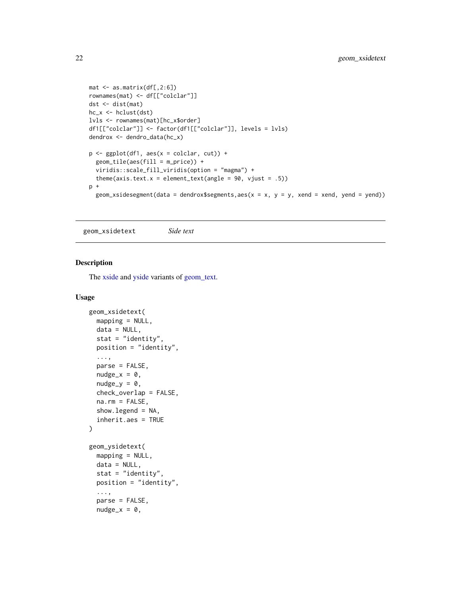```
mat <- as.matrix(df[,2:6])
rownames(mat) <- df[["colclar"]]
dst <- dist(mat)
hc_x <- hclust(dst)
lvls <- rownames(mat)[hc_x$order]
df1[["colclar"]] <- factor(df1[["colclar"]], levels = lvls)
dendrox <- dendro_data(hc_x)
p \leftarrow \text{ggplot}(df1, \text{aes}(x = \text{colclar}, \text{cut})) +geom_tile(aes(fill = m_price)) +
  viridis::scale_fill_viridis(option = "magma") +
  theme(axis.text.x = element_text(angle = 90, vjust = .5))
p +
  geom_xsidesegment(data = dendrox$segments,aes(x = x, y = y, xend = xend, yend = yend))
```
<span id="page-21-1"></span>geom\_xsidetext *Side text*

# <span id="page-21-2"></span>Description

The [xside](#page-42-1) and [yside](#page-43-1) variants of [geom\\_text.](#page-0-0)

```
geom_xsidetext(
 mapping = NULL,
  data = NULL,
  stat = "identity",
 position = "identity",
  ...,
  parse = FALSE,
  nudge_x = 0,
  nudge_y = 0,
  check_overlap = FALSE,
  na.rm = FALSE,
  show.legend = NA,
  inherit.aes = TRUE
)
geom_ysidetext(
  mapping = NULL,
  data = NULL,stat = "identity",position = "identity",
  ...,
  parse = FALSE,
  nudge_x = 0,
```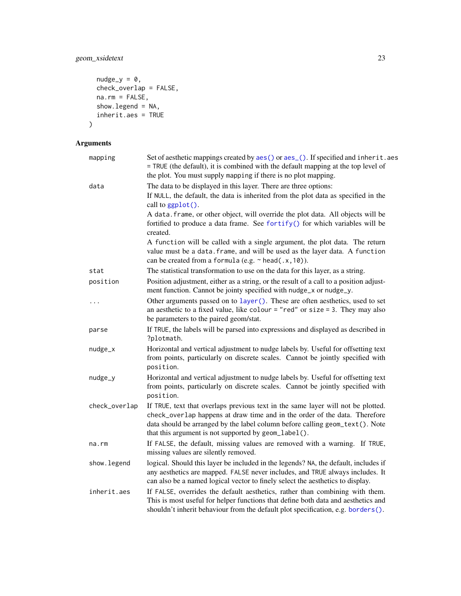# <span id="page-22-0"></span>geom\_xsidetext 23

```
nudge_y = 0,
 check_overlap = FALSE,
 na.rm = FALSE,show.legend = NA,
 inherit.aes = TRUE
)
```

| mapping       | Set of aesthetic mappings created by aes () or aes (). If specified and inherit. aes<br>= TRUE (the default), it is combined with the default mapping at the top level of<br>the plot. You must supply mapping if there is no plot mapping.                                                            |
|---------------|--------------------------------------------------------------------------------------------------------------------------------------------------------------------------------------------------------------------------------------------------------------------------------------------------------|
| data          | The data to be displayed in this layer. There are three options:<br>If NULL, the default, the data is inherited from the plot data as specified in the<br>call to ggplot().                                                                                                                            |
|               | A data. frame, or other object, will override the plot data. All objects will be<br>fortified to produce a data frame. See fortify() for which variables will be<br>created.                                                                                                                           |
|               | A function will be called with a single argument, the plot data. The return<br>value must be a data. frame, and will be used as the layer data. A function<br>can be created from a formula (e.g. $\sim$ head(.x, 10)).                                                                                |
| stat          | The statistical transformation to use on the data for this layer, as a string.                                                                                                                                                                                                                         |
| position      | Position adjustment, either as a string, or the result of a call to a position adjust-<br>ment function. Cannot be jointy specified with nudge_x or nudge_y.                                                                                                                                           |
|               | Other arguments passed on to layer (). These are often aesthetics, used to set<br>an aesthetic to a fixed value, like colour = "red" or size = 3. They may also<br>be parameters to the paired geom/stat.                                                                                              |
| parse         | If TRUE, the labels will be parsed into expressions and displayed as described in<br>?plotmath.                                                                                                                                                                                                        |
| nudge_x       | Horizontal and vertical adjustment to nudge labels by. Useful for offsetting text<br>from points, particularly on discrete scales. Cannot be jointly specified with<br>position.                                                                                                                       |
| nudge_y       | Horizontal and vertical adjustment to nudge labels by. Useful for offsetting text<br>from points, particularly on discrete scales. Cannot be jointly specified with<br>position.                                                                                                                       |
| check_overlap | If TRUE, text that overlaps previous text in the same layer will not be plotted.<br>check_overlap happens at draw time and in the order of the data. Therefore<br>data should be arranged by the label column before calling geom_text(). Note<br>that this argument is not supported by geom_label(). |
| na.rm         | If FALSE, the default, missing values are removed with a warning. If TRUE,<br>missing values are silently removed.                                                                                                                                                                                     |
| show.legend   | logical. Should this layer be included in the legends? NA, the default, includes if<br>any aesthetics are mapped. FALSE never includes, and TRUE always includes. It<br>can also be a named logical vector to finely select the aesthetics to display.                                                 |
| inherit.aes   | If FALSE, overrides the default aesthetics, rather than combining with them.<br>This is most useful for helper functions that define both data and aesthetics and<br>shouldn't inherit behaviour from the default plot specification, e.g. borders().                                                  |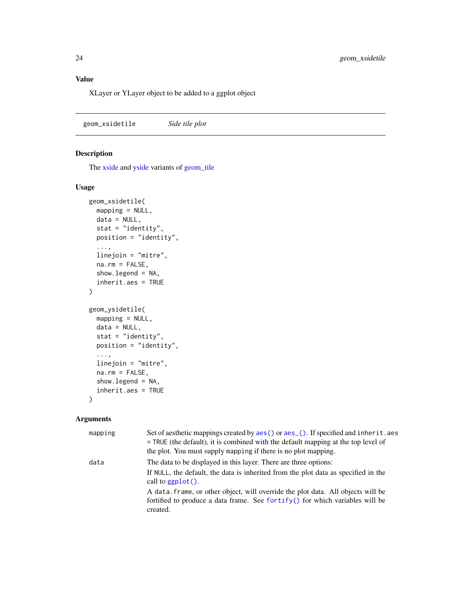<span id="page-23-0"></span>XLayer or YLayer object to be added to a ggplot object

<span id="page-23-1"></span>geom\_xsidetile *Side tile plot*

# <span id="page-23-2"></span>Description

The [xside](#page-42-1) and [yside](#page-43-1) variants of [geom\\_tile](#page-0-0)

# Usage

```
geom_xsidetile(
 mapping = NULL,
 data = NULL,stat = "identity",
 position = "identity",
  ...,
 linejoin = "mitre",
 na.rm = FALSE,
  show.legend = NA,
  inherit.aes = TRUE
)
geom_ysidetile(
 mapping = NULL,
 data = NULL,stat = "identity",
 position = "identity",
  ...,
 linejoin = "mitre",
 na.rm = FALSE,
  show.legend = NA,
  inherit.aes = TRUE
)
```

| mapping | Set of aesthetic mappings created by aes () or aes (). If specified and inherit. aes<br>$=$ TRUE (the default), it is combined with the default mapping at the top level of<br>the plot. You must supply mapping if there is no plot mapping. |
|---------|-----------------------------------------------------------------------------------------------------------------------------------------------------------------------------------------------------------------------------------------------|
| data    | The data to be displayed in this layer. There are three options:<br>If NULL, the default, the data is inherited from the plot data as specified in the<br>call to $ggplot()$ .                                                                |
|         | A data frame, or other object, will override the plot data. All objects will be<br>fortified to produce a data frame. See fortify() for which variables will be<br>created.                                                                   |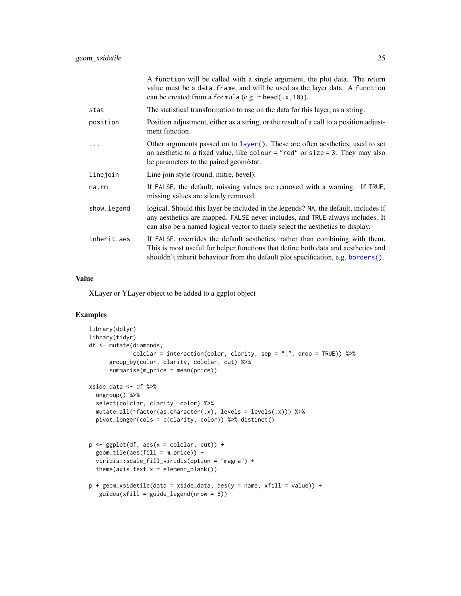<span id="page-24-0"></span>

| A function will be called with a single argument, the plot data. The return<br>value must be a data. frame, and will be used as the layer data. A function<br>can be created from a formula (e.g. $\sim$ head(.x, 10)).                                |
|--------------------------------------------------------------------------------------------------------------------------------------------------------------------------------------------------------------------------------------------------------|
| The statistical transformation to use on the data for this layer, as a string.                                                                                                                                                                         |
| Position adjustment, either as a string, or the result of a call to a position adjust-<br>ment function.                                                                                                                                               |
| Other arguments passed on to layer (). These are often aesthetics, used to set<br>an aesthetic to a fixed value, like colour = "red" or size = 3. They may also<br>be parameters to the paired geom/stat.                                              |
| Line join style (round, mitre, bevel).                                                                                                                                                                                                                 |
| If FALSE, the default, missing values are removed with a warning. If TRUE,<br>missing values are silently removed.                                                                                                                                     |
| logical. Should this layer be included in the legends? NA, the default, includes if<br>any aesthetics are mapped. FALSE never includes, and TRUE always includes. It<br>can also be a named logical vector to finely select the aesthetics to display. |
| If FALSE, overrides the default aesthetics, rather than combining with them.<br>This is most useful for helper functions that define both data and aesthetics and<br>shouldn't inherit behaviour from the default plot specification, e.g. borders().  |
|                                                                                                                                                                                                                                                        |

XLayer or YLayer object to be added to a ggplot object

```
library(dplyr)
library(tidyr)
df <- mutate(diamonds,
             colclar = interaction(color, clarity, sep = "_", drop = TRUE)) %>%
      group_by(color, clarity, colclar, cut) %>%
      summarise(m_price = mean(price))
xside_data <- df %>%
  ungroup() %>%
  select(colclar, clarity, color) %>%
  mutate_all(~factor(as.character(.x), levels = levels(.x))) %>%
  pivot_longer(cols = c(clarity, color)) %>% distinct()
p \leftarrow \text{ggplot}(df, \text{aes}(x = \text{colclar}, \text{cut})) +geom_tile(aes(fill = m_price)) +
  viridis::scale_fill_viridis(option = "magma") +
  theme(axis.text.x = element_blank())p + geom_xsidetile(data = xside_data, aes(y = name, xfill = value)) +
   guides(xfill = guide\_legend(nrow = 8))
```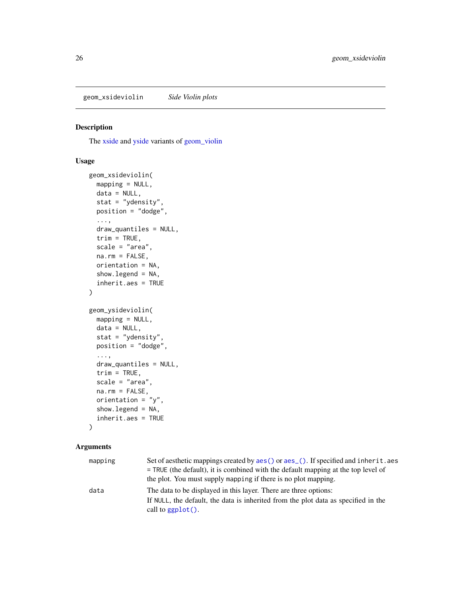<span id="page-25-2"></span><span id="page-25-0"></span>geom\_xsideviolin *Side Violin plots*

#### <span id="page-25-1"></span>Description

The [xside](#page-42-1) and [yside](#page-43-1) variants of [geom\\_violin](#page-0-0)

# Usage

```
geom_xsideviolin(
 mapping = NULL,
 data = NULL,stat = "ydensity",
 position = "dodge",
  ...,
  draw_quantiles = NULL,
  trim = TRUE,scale = "area",
 na.rm = FALSE,
 orientation = NA,
  show.legend = NA,
  inherit.aes = TRUE
)
geom_ysideviolin(
 mapping = NULL,
 data = NULL,stat = "ydensity",
 position = "dodge",
  ...,
 draw_quantiles = NULL,
  trim = TRUE,scale = "area",
 na.rm = FALSE,orientation = "y",
  show.legend = NA,
  inherit.aes = TRUE
\lambda
```

| mapping | Set of aesthetic mappings created by aes () or aes (). If specified and inherit. aes |
|---------|--------------------------------------------------------------------------------------|
|         | $=$ TRUE (the default), it is combined with the default mapping at the top level of  |
|         | the plot. You must supply mapping if there is no plot mapping.                       |
| data    | The data to be displayed in this layer. There are three options:                     |
|         | If NULL, the default, the data is inherited from the plot data as specified in the   |
|         | call to $ggplot()$ .                                                                 |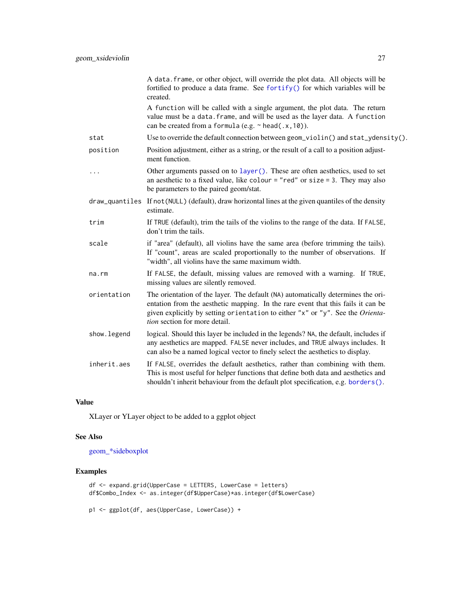<span id="page-26-0"></span>

|              | A data. frame, or other object, will override the plot data. All objects will be<br>fortified to produce a data frame. See fortify() for which variables will be<br>created.                                                                                                            |
|--------------|-----------------------------------------------------------------------------------------------------------------------------------------------------------------------------------------------------------------------------------------------------------------------------------------|
|              | A function will be called with a single argument, the plot data. The return<br>value must be a data. frame, and will be used as the layer data. A function<br>can be created from a formula (e.g. $\sim$ head(.x, 10)).                                                                 |
| stat         | Use to override the default connection between geom_violin() and $stat_y$ density().                                                                                                                                                                                                    |
| position     | Position adjustment, either as a string, or the result of a call to a position adjust-<br>ment function.                                                                                                                                                                                |
| .            | Other arguments passed on to layer (). These are often aesthetics, used to set<br>an aesthetic to a fixed value, like colour = "red" or size = 3. They may also<br>be parameters to the paired geom/stat.                                                                               |
|              | draw_quantiles If not(NULL) (default), draw horizontal lines at the given quantiles of the density<br>estimate.                                                                                                                                                                         |
| trim         | If TRUE (default), trim the tails of the violins to the range of the data. If FALSE,<br>don't trim the tails.                                                                                                                                                                           |
| scale        | if "area" (default), all violins have the same area (before trimming the tails).<br>If "count", areas are scaled proportionally to the number of observations. If<br>"width", all violins have the same maximum width.                                                                  |
| na.rm        | If FALSE, the default, missing values are removed with a warning. If TRUE,<br>missing values are silently removed.                                                                                                                                                                      |
| orientation  | The orientation of the layer. The default (NA) automatically determines the ori-<br>entation from the aesthetic mapping. In the rare event that this fails it can be<br>given explicitly by setting orientation to either "x" or "y". See the Orienta-<br>tion section for more detail. |
| show. legend | logical. Should this layer be included in the legends? NA, the default, includes if<br>any aesthetics are mapped. FALSE never includes, and TRUE always includes. It<br>can also be a named logical vector to finely select the aesthetics to display.                                  |
| inherit.aes  | If FALSE, overrides the default aesthetics, rather than combining with them.<br>This is most useful for helper functions that define both data and aesthetics and<br>shouldn't inherit behaviour from the default plot specification, e.g. borders().                                   |

XLayer or YLayer object to be added to a ggplot object

# See Also

[geom\\_\\*sideboxplot](#page-5-2)

```
df <- expand.grid(UpperCase = LETTERS, LowerCase = letters)
df$Combo_Index <- as.integer(df$UpperCase)*as.integer(df$LowerCase)
```

```
p1 <- ggplot(df, aes(UpperCase, LowerCase)) +
```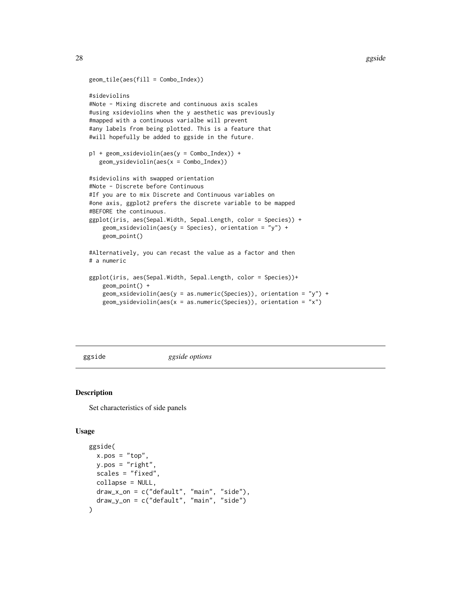```
geom_tile(aes(fill = Combo_Index))
#sideviolins
#Note - Mixing discrete and continuous axis scales
#using xsideviolins when the y aesthetic was previously
#mapped with a continuous varialbe will prevent
#any labels from being plotted. This is a feature that
#will hopefully be added to ggside in the future.
p1 + geom_xsideviolin(aes(y = Combo_Index)) +
   geom_ysideviolin(aes(x = Combo_Index))
#sideviolins with swapped orientation
#Note - Discrete before Continuous
#If you are to mix Discrete and Continuous variables on
#one axis, ggplot2 prefers the discrete variable to be mapped
#BEFORE the continuous.
ggplot(iris, aes(Sepal.Width, Sepal.Length, color = Species)) +
    geom_xsideviolin(aes(y = Species), orientation = "y") +
    geom_point()
#Alternatively, you can recast the value as a factor and then
# a numeric
ggplot(iris, aes(Sepal.Width, Sepal.Length, color = Species))+
    geom_point() +
    geom_xsideviolin(aes(y = as.numeric(Species)), orientation = "y") +
   geom_ysideviolin(aes(x = as.numeric(Species)), orientation = "x")
```
<span id="page-27-1"></span>

ggside *ggside options*

#### Description

Set characteristics of side panels

```
ggside(
 x.pos = "top",y.pos = "right"scales = "fixed",
 collapse = NULL,
 draw_x_on = c("default", "main", "side"),
 draw_y_on = c("default", "main", "side")
)
```
<span id="page-27-0"></span>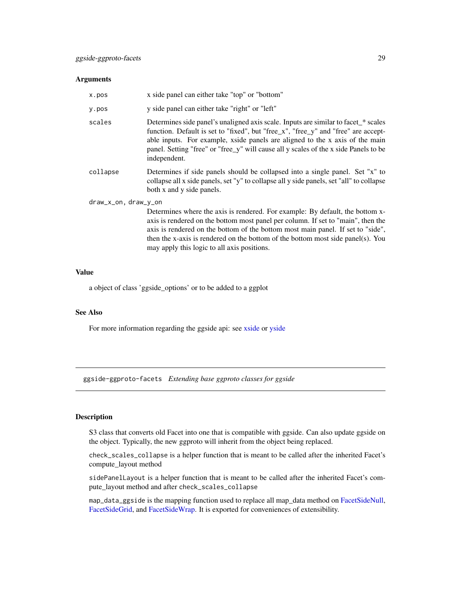### <span id="page-28-0"></span>Arguments

| x.pos                | x side panel can either take "top" or "bottom"                                                                                                                                                                                                                                                                                                                                         |
|----------------------|----------------------------------------------------------------------------------------------------------------------------------------------------------------------------------------------------------------------------------------------------------------------------------------------------------------------------------------------------------------------------------------|
| y.pos                | y side panel can either take "right" or "left"                                                                                                                                                                                                                                                                                                                                         |
| scales               | Determines side panel's unaligned axis scale. Inputs are similar to facet_* scales<br>function. Default is set to "fixed", but "free_x", "free_y" and "free" are accept-<br>able inputs. For example, xside panels are aligned to the x axis of the main<br>panel. Setting "free" or "free_y" will cause all y scales of the x side Panels to be<br>independent.                       |
| collapse             | Determines if side panels should be collapsed into a single panel. Set "x" to<br>collapse all x side panels, set "y" to collapse all y side panels, set "all" to collapse<br>both x and y side panels.                                                                                                                                                                                 |
| draw_x_on, draw_y_on | Determines where the axis is rendered. For example: By default, the bottom x-<br>axis is rendered on the bottom most panel per column. If set to "main", then the<br>axis is rendered on the bottom of the bottom most main panel. If set to "side",<br>then the x-axis is rendered on the bottom of the bottom most side panel(s). You<br>may apply this logic to all axis positions. |

#### Value

a object of class 'ggside\_options' or to be added to a ggplot

#### See Also

For more information regarding the ggside api: see [xside](#page-42-1) or [yside](#page-43-1)

ggside-ggproto-facets *Extending base ggproto classes for ggside*

#### <span id="page-28-1"></span>Description

S3 class that converts old Facet into one that is compatible with ggside. Can also update ggside on the object. Typically, the new ggproto will inherit from the object being replaced.

check\_scales\_collapse is a helper function that is meant to be called after the inherited Facet's compute\_layout method

sidePanelLayout is a helper function that is meant to be called after the inherited Facet's compute\_layout method and after check\_scales\_collapse

map\_data\_ggside is the mapping function used to replace all map\_data method on [FacetSideNull,](#page-28-1) [FacetSideGrid,](#page-28-1) and [FacetSideWrap.](#page-28-1) It is exported for conveniences of extensibility.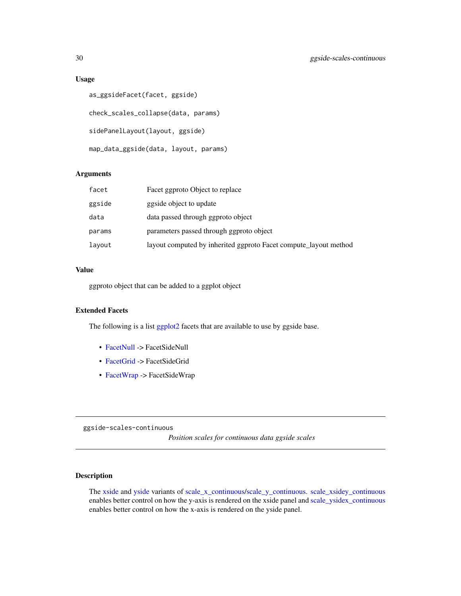#### Usage

```
as_ggsideFacet(facet, ggside)
check_scales_collapse(data, params)
sidePanelLayout(layout, ggside)
map_data_ggside(data, layout, params)
```
# Arguments

| facet  | Facet ggproto Object to replace                                  |
|--------|------------------------------------------------------------------|
| ggside | ggside object to update                                          |
| data   | data passed through ggproto object                               |
| params | parameters passed through ggproto object                         |
| layout | layout computed by inherited ggproto Facet compute_layout method |

# Value

ggproto object that can be added to a ggplot object

# Extended Facets

The following is a list [ggplot2](#page-0-0) facets that are available to use by ggside base.

- [FacetNull](#page-0-0) -> FacetSideNull
- [FacetGrid](#page-0-0) -> FacetSideGrid
- [FacetWrap](#page-0-0) -> FacetSideWrap

ggside-scales-continuous

*Position scales for continuous data ggside scales*

# <span id="page-29-1"></span>Description

The [xside](#page-42-1) and [yside](#page-43-1) variants of [scale\\_x\\_continuous/scale\\_y\\_continuous.](#page-0-0) [scale\\_xsidey\\_continuous](#page-29-1) enables better control on how the y-axis is rendered on the xside panel and [scale\\_ysidex\\_continuous](#page-29-1) enables better control on how the x-axis is rendered on the yside panel.

<span id="page-29-0"></span>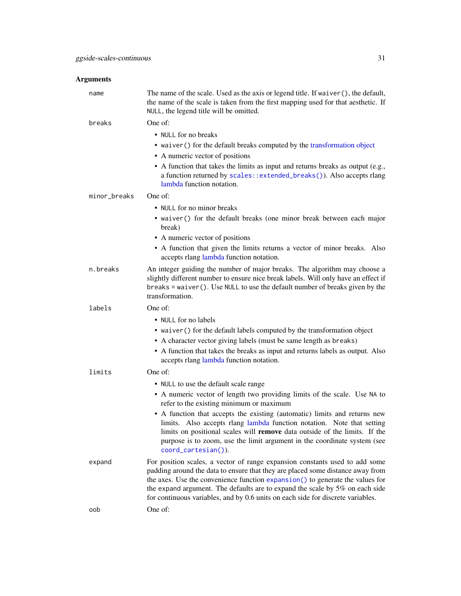<span id="page-30-0"></span>

| name         | The name of the scale. Used as the axis or legend title. If waiver (), the default,<br>the name of the scale is taken from the first mapping used for that aesthetic. If<br>NULL, the legend title will be omitted.                                                                                                                  |
|--------------|--------------------------------------------------------------------------------------------------------------------------------------------------------------------------------------------------------------------------------------------------------------------------------------------------------------------------------------|
| breaks       | One of:                                                                                                                                                                                                                                                                                                                              |
|              | • NULL for no breaks                                                                                                                                                                                                                                                                                                                 |
|              | • waiver () for the default breaks computed by the transformation object                                                                                                                                                                                                                                                             |
|              | • A numeric vector of positions                                                                                                                                                                                                                                                                                                      |
|              | • A function that takes the limits as input and returns breaks as output (e.g.,<br>a function returned by scales::extended_breaks()). Also accepts rlang<br>lambda function notation.                                                                                                                                                |
| minor_breaks | One of:                                                                                                                                                                                                                                                                                                                              |
|              | • NULL for no minor breaks                                                                                                                                                                                                                                                                                                           |
|              | • waiver () for the default breaks (one minor break between each major<br>break)                                                                                                                                                                                                                                                     |
|              | • A numeric vector of positions                                                                                                                                                                                                                                                                                                      |
|              | • A function that given the limits returns a vector of minor breaks. Also<br>accepts rlang lambda function notation.                                                                                                                                                                                                                 |
| n.breaks     | An integer guiding the number of major breaks. The algorithm may choose a<br>slightly different number to ensure nice break labels. Will only have an effect if<br>$breaks = waiver()$ . Use NULL to use the default number of breaks given by the<br>transformation.                                                                |
| labels       | One of:                                                                                                                                                                                                                                                                                                                              |
|              | • NULL for no labels                                                                                                                                                                                                                                                                                                                 |
|              | • waiver () for the default labels computed by the transformation object                                                                                                                                                                                                                                                             |
|              | • A character vector giving labels (must be same length as breaks)                                                                                                                                                                                                                                                                   |
|              | • A function that takes the breaks as input and returns labels as output. Also<br>accepts rlang lambda function notation.                                                                                                                                                                                                            |
| limits       | One of:                                                                                                                                                                                                                                                                                                                              |
|              | • NULL to use the default scale range                                                                                                                                                                                                                                                                                                |
|              | • A numeric vector of length two providing limits of the scale. Use NA to<br>refer to the existing minimum or maximum                                                                                                                                                                                                                |
|              | • A function that accepts the existing (automatic) limits and returns new<br>limits. Also accepts rlang lambda function notation. Note that setting<br>limits on positional scales will remove data outside of the limits. If the<br>purpose is to zoom, use the limit argument in the coordinate system (see<br>coord_cartesian()). |
| expand       | For position scales, a vector of range expansion constants used to add some<br>padding around the data to ensure that they are placed some distance away from<br>the axes. Use the convenience function expansion() to generate the values for<br>the expand argument. The defaults are to expand the scale by $5\%$ on each side    |
|              | for continuous variables, and by 0.6 units on each side for discrete variables.                                                                                                                                                                                                                                                      |
| oob          | One of:                                                                                                                                                                                                                                                                                                                              |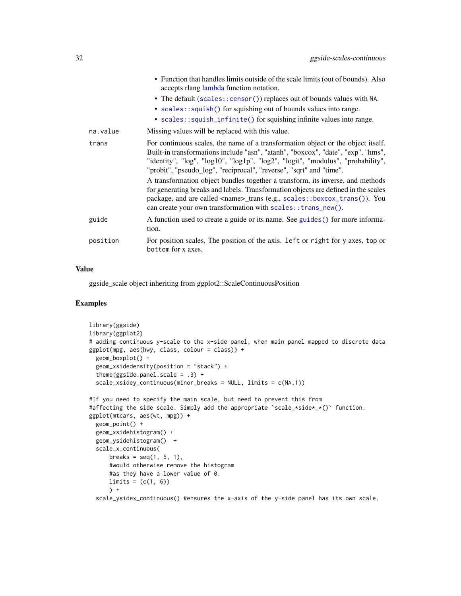<span id="page-31-0"></span>

|          | • Function that handles limits outside of the scale limits (out of bounds). Also<br>accepts rlang lambda function notation.<br>• The default (scales::censor()) replaces out of bounds values with NA.<br>• scales::squish() for squishing out of bounds values into range.<br>• scales::squish_infinite() for squishing infinite values into range.                                                                                                                                                                                                                                                                                                        |
|----------|-------------------------------------------------------------------------------------------------------------------------------------------------------------------------------------------------------------------------------------------------------------------------------------------------------------------------------------------------------------------------------------------------------------------------------------------------------------------------------------------------------------------------------------------------------------------------------------------------------------------------------------------------------------|
| na.value | Missing values will be replaced with this value.                                                                                                                                                                                                                                                                                                                                                                                                                                                                                                                                                                                                            |
| trans    | For continuous scales, the name of a transformation object or the object itself.<br>Built-in transformations include "asn", "atanh", "boxcox", "date", "exp", "hms",<br>"identity", "log", "log10", "log1p", "log2", "logit", "modulus", "probability",<br>"probit", "pseudo_log", "reciprocal", "reverse", "sqrt" and "time".<br>A transformation object bundles together a transform, its inverse, and methods<br>for generating breaks and labels. Transformation objects are defined in the scales<br>package, and are called <name>_trans (e.g., scales::boxcox_trans()). You<br/>can create your own transformation with scales:: trans_new().</name> |
| guide    | A function used to create a guide or its name. See guides () for more informa-<br>tion.                                                                                                                                                                                                                                                                                                                                                                                                                                                                                                                                                                     |
| position | For position scales, The position of the axis. Left or right for y axes, top or<br>bottom for x axes.                                                                                                                                                                                                                                                                                                                                                                                                                                                                                                                                                       |
|          |                                                                                                                                                                                                                                                                                                                                                                                                                                                                                                                                                                                                                                                             |

ggside\_scale object inheriting from ggplot2::ScaleContinuousPosition

```
library(ggside)
library(ggplot2)
# adding continuous y-scale to the x-side panel, when main panel mapped to discrete data
ggplot(mpg, aes(hwy, class, colour = class)) +
  geom_boxplot() +
  geom_xsidedensity(position = "stack") +
  theme(ggside.panel.scale = .3) +
  scale_xsidey_continuous(minor_breaks = NULL, limits = c(NA,1))
#If you need to specify the main scale, but need to prevent this from
#affecting the side scale. Simply add the appropriate 'scale_*side*_*()' function.
ggplot(mtcars, aes(wt, mpg)) +
  geom_point() +
  geom_xsidehistogram() +
  geom_ysidehistogram() +
  scale_x_continuous(
      breaks = seq(1, 6, 1),
      #would otherwise remove the histogram
      #as they have a lower value of 0.
      limits = (c(1, 6))) +scale_ysidex_continuous() #ensures the x-axis of the y-side panel has its own scale.
```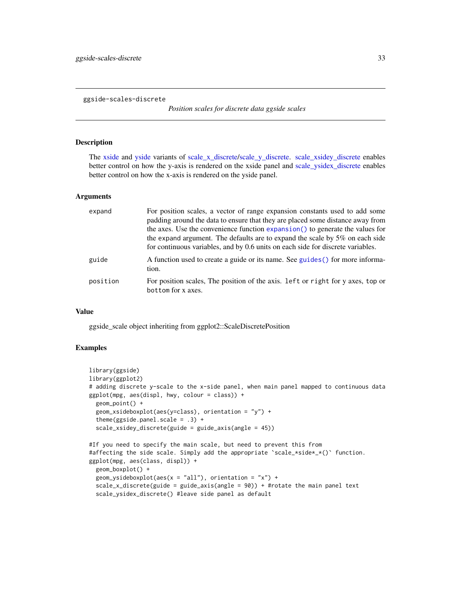<span id="page-32-0"></span>ggside-scales-discrete

*Position scales for discrete data ggside scales*

#### <span id="page-32-1"></span>Description

The [xside](#page-42-1) and [yside](#page-43-1) variants of [scale\\_x\\_discrete/scale\\_y\\_discrete.](#page-0-0) [scale\\_xsidey\\_discrete](#page-32-1) enables better control on how the y-axis is rendered on the xside panel and [scale\\_ysidex\\_discrete](#page-32-1) enables better control on how the x-axis is rendered on the yside panel.

#### Arguments

| expand   | For position scales, a vector of range expansion constants used to add some<br>padding around the data to ensure that they are placed some distance away from<br>the axes. Use the convenience function expansion() to generate the values for<br>the expand argument. The defaults are to expand the scale by $5\%$ on each side<br>for continuous variables, and by 0.6 units on each side for discrete variables. |
|----------|----------------------------------------------------------------------------------------------------------------------------------------------------------------------------------------------------------------------------------------------------------------------------------------------------------------------------------------------------------------------------------------------------------------------|
| guide    | A function used to create a guide or its name. See guides () for more informa-<br>tion.                                                                                                                                                                                                                                                                                                                              |
| position | For position scales, The position of the axis. Left or right for y axes, top or<br>bottom for x axes.                                                                                                                                                                                                                                                                                                                |

#### Value

ggside\_scale object inheriting from ggplot2::ScaleDiscretePosition

```
library(ggside)
library(ggplot2)
# adding discrete y-scale to the x-side panel, when main panel mapped to continuous data
ggplot(mpg, aes(displ, hwy, colour = class)) +
 geom_point() +
 geom_xsideboxplot(aes(y=class), orientation = "y") +
 theme(ggside.panel.scale = .3) +
 scale_xsidey_discrete(guide = guide_axis(angle = 45))
#If you need to specify the main scale, but need to prevent this from
#affecting the side scale. Simply add the appropriate 'scale_*side*_*()' function.
```

```
ggplot(mpg, aes(class, displ)) +
 geom_boxplot() +
 geom_ysideboxplot(aes(x = "all"), orientation = "x") +
 scale_x_discrete(guide = guide_axis(angle = 90)) + #rotate the main panel text
 scale_ysidex_discrete() #leave side panel as default
```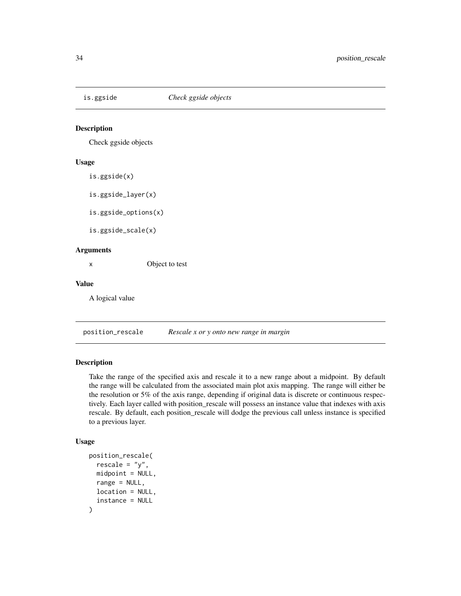<span id="page-33-0"></span>

# Description

Check ggside objects

#### Usage

is.ggside(x)

is.ggside\_layer(x)

is.ggside\_options(x)

is.ggside\_scale(x)

#### Arguments

x Object to test

#### Value

A logical value

position\_rescale *Rescale x or y onto new range in margin*

# Description

Take the range of the specified axis and rescale it to a new range about a midpoint. By default the range will be calculated from the associated main plot axis mapping. The range will either be the resolution or 5% of the axis range, depending if original data is discrete or continuous respectively. Each layer called with position\_rescale will possess an instance value that indexes with axis rescale. By default, each position\_rescale will dodge the previous call unless instance is specified to a previous layer.

```
position_rescale(
  rescale = "y",mid = NULL,range = NULL,
 location = NULL,
  instance = NULL
)
```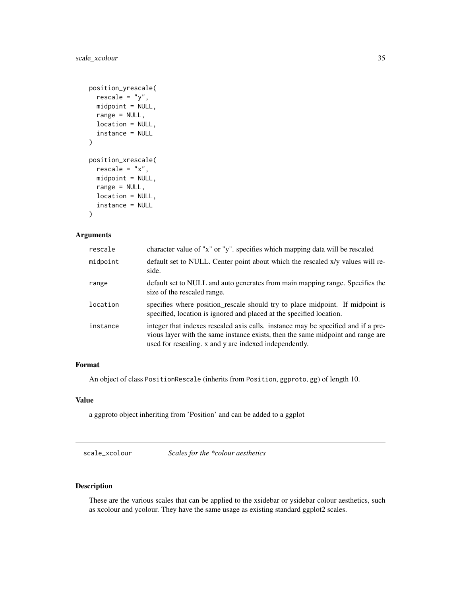```
position_yrescale(
  rescale = "y",midpoint = NULL,
  range = NULL,
 location = NULL,
  instance = NULL
\mathcal{L}position_xrescale(
  rescale = "x",midpoint = NULL,
  range = NULL,
  location = NULL,
  instance = NULL
)
```
# Arguments

| rescale  | character value of "x" or "y". specifies which mapping data will be rescaled                                                                                                                                                   |
|----------|--------------------------------------------------------------------------------------------------------------------------------------------------------------------------------------------------------------------------------|
| midpoint | default set to NULL. Center point about which the rescaled x/y values will re-<br>side.                                                                                                                                        |
| range    | default set to NULL and auto generates from main mapping range. Specifies the<br>size of the rescaled range.                                                                                                                   |
| location | specifies where position_rescale should try to place midpoint. If midpoint is<br>specified, location is ignored and placed at the specified location.                                                                          |
| instance | integer that indexes rescaled axis calls. instance may be specified and if a pre-<br>vious layer with the same instance exists, then the same midpoint and range are<br>used for rescaling. x and y are indexed independently. |

# Format

An object of class PositionRescale (inherits from Position, ggproto, gg) of length 10.

# Value

a ggproto object inheriting from 'Position' and can be added to a ggplot

scale\_xcolour *Scales for the \*colour aesthetics*

### Description

These are the various scales that can be applied to the xsidebar or ysidebar colour aesthetics, such as xcolour and ycolour. They have the same usage as existing standard ggplot2 scales.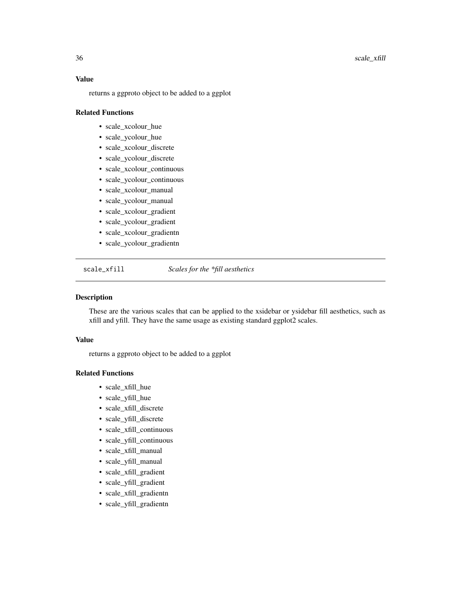<span id="page-35-0"></span>returns a ggproto object to be added to a ggplot

#### Related Functions

- scale\_xcolour\_hue
- scale\_ycolour\_hue
- scale\_xcolour\_discrete
- scale\_ycolour\_discrete
- scale\_xcolour\_continuous
- scale\_ycolour\_continuous
- scale\_xcolour\_manual
- scale\_ycolour\_manual
- scale\_xcolour\_gradient
- scale\_ycolour\_gradient
- scale\_xcolour\_gradientn
- scale\_ycolour\_gradientn

scale\_xfill *Scales for the \*fill aesthetics*

#### Description

These are the various scales that can be applied to the xsidebar or ysidebar fill aesthetics, such as xfill and yfill. They have the same usage as existing standard ggplot2 scales.

# Value

returns a ggproto object to be added to a ggplot

#### Related Functions

- scale\_xfill\_hue
- scale\_yfill\_hue
- scale\_xfill\_discrete
- scale\_yfill\_discrete
- scale\_xfill\_continuous
- scale\_yfill\_continuous
- scale\_xfill\_manual
- scale\_yfill\_manual
- scale\_xfill\_gradient
- scale\_yfill\_gradient
- scale\_xfill\_gradientn
- scale\_yfill\_gradientn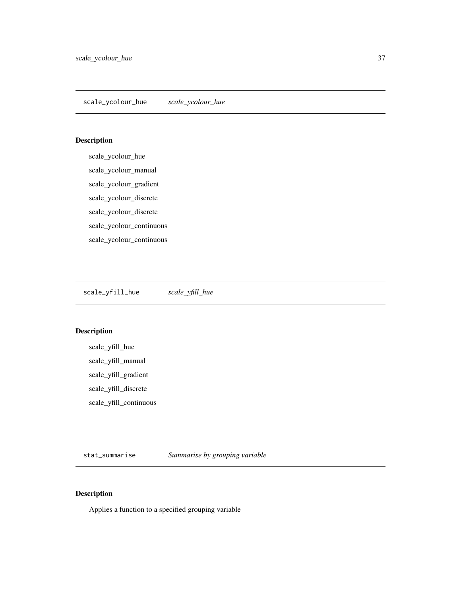# <span id="page-36-0"></span>Description

scale\_ycolour\_hue scale\_ycolour\_manual scale\_ycolour\_gradient scale\_ycolour\_discrete scale\_ycolour\_discrete scale\_ycolour\_continuous scale\_ycolour\_continuous

scale\_yfill\_hue *scale\_yfill\_hue*

# Description

scale\_yfill\_hue scale\_yfill\_manual scale\_yfill\_gradient scale\_yfill\_discrete scale\_yfill\_continuous

stat\_summarise *Summarise by grouping variable*

# Description

Applies a function to a specified grouping variable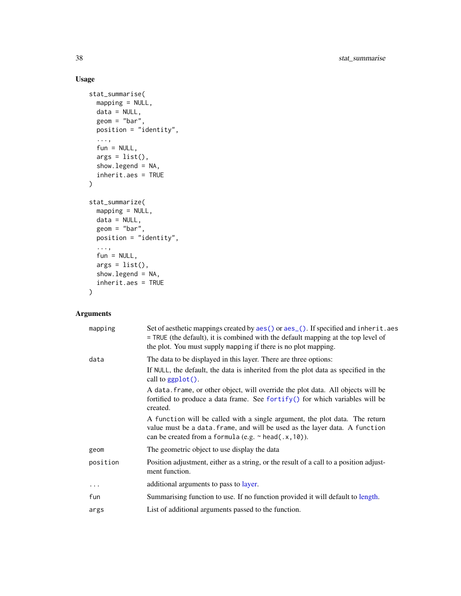# Usage

```
stat_summarise(
 mapping = NULL,
 data = NULL,geom = "bar",position = "identity",
  ...,
 fun = NULL,args = list(),show.legend = NA,
  inherit.aes = TRUE
\mathcal{L}stat_summarize(
 mapping = NULL,
 data = NULL,geom = "bar",
 position = "identity",
  ...,
  fun = NULL,args = list(),show.legend = NA,
 inherit.aes = TRUE
\mathcal{L}
```

| mapping  | Set of aesthetic mappings created by aes() or aes_(). If specified and inherit.aes<br>= TRUE (the default), it is combined with the default mapping at the top level of<br>the plot. You must supply mapping if there is no plot mapping. |  |
|----------|-------------------------------------------------------------------------------------------------------------------------------------------------------------------------------------------------------------------------------------------|--|
| data     | The data to be displayed in this layer. There are three options:                                                                                                                                                                          |  |
|          | If NULL, the default, the data is inherited from the plot data as specified in the<br>call to $ggplot()$ .                                                                                                                                |  |
|          | A data frame, or other object, will override the plot data. All objects will be<br>fortified to produce a data frame. See fortify() for which variables will be<br>created.                                                               |  |
|          | A function will be called with a single argument, the plot data. The return<br>value must be a data. frame, and will be used as the layer data. A function<br>can be created from a formula (e.g. $\sim$ head(.x, 10)).                   |  |
| geom     | The geometric object to use display the data                                                                                                                                                                                              |  |
| position | Position adjustment, either as a string, or the result of a call to a position adjust-<br>ment function.                                                                                                                                  |  |
| $\cdots$ | additional arguments to pass to layer.                                                                                                                                                                                                    |  |
| fun      | Summarising function to use. If no function provided it will default to length.                                                                                                                                                           |  |
| args     | List of additional arguments passed to the function.                                                                                                                                                                                      |  |

<span id="page-37-0"></span>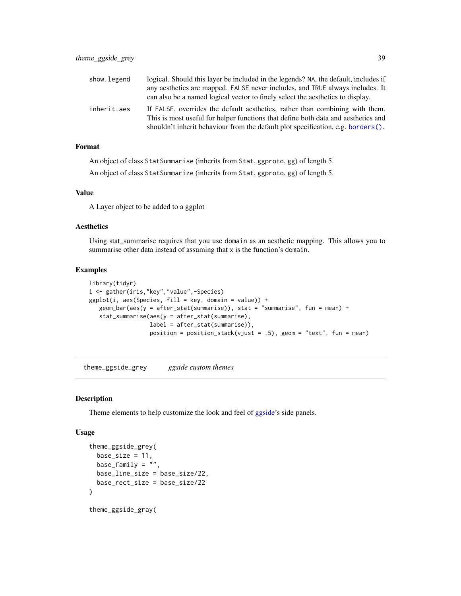<span id="page-38-0"></span>

| show.legend | logical. Should this layer be included in the legends? NA, the default, includes if                                                                               |
|-------------|-------------------------------------------------------------------------------------------------------------------------------------------------------------------|
|             | any aesthetics are mapped. FALSE never includes, and TRUE always includes. It                                                                                     |
|             | can also be a named logical vector to finely select the aesthetics to display.                                                                                    |
| inherit.aes | If FALSE, overrides the default aesthetics, rather than combining with them.<br>This is most useful for helper functions that define both data and aesthetics and |
|             | shouldn't inherit behaviour from the default plot specification, e.g. borders().                                                                                  |

### Format

An object of class StatSummarise (inherits from Stat, ggproto, gg) of length 5.

An object of class StatSummarize (inherits from Stat, ggproto, gg) of length 5.

#### Value

A Layer object to be added to a ggplot

#### Aesthetics

Using stat\_summarise requires that you use domain as an aesthetic mapping. This allows you to summarise other data instead of assuming that x is the function's domain.

#### Examples

```
library(tidyr)
i <- gather(iris,"key","value",-Species)
ggplot(i, aes(Species, fill = key, domain = value)) +geom_bar(aes(y = after_stat(summarise)), stat = "summarise", fun = mean) +
   stat_summarise(aes(y = after_stat(summarise),
                  label = after_stat(summarise)),
                  position = position_stack(vjust = .5), geom = "text", fun = mean)
```
theme\_ggside\_grey *ggside custom themes*

#### Description

Theme elements to help customize the look and feel of [ggside'](#page-27-1)s side panels.

```
theme_ggside_grey(
 base_size = 11,
 base_family = ",
 base_line_size = base_size/22,
 base_rect_size = base_size/22
)
```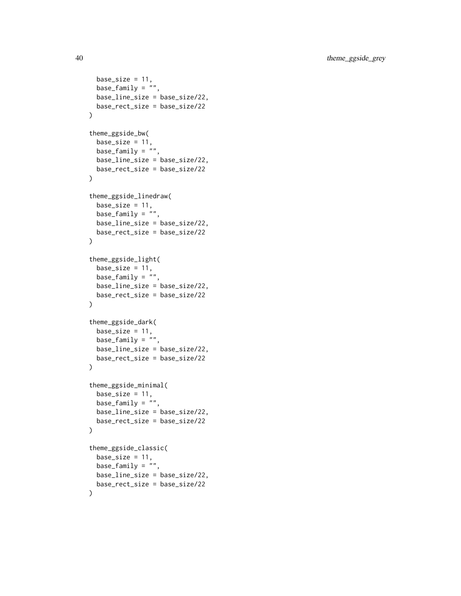```
base_size = 11,
 base_family = ",
 base_line_size = base_size/22,
 base_rect_size = base_size/22
\mathcal{L}theme_ggside_bw(
 base_size = 11,
 base_family = \overline{''''},
 base_line_size = base_size/22,
 base_rect_size = base_size/22
\mathcal{L}theme_ggside_linedraw(
 base_size = 11,
 base_family = ",
 base_line_size = base_size/22,
 base_rect_size = base_size/22
\mathcal{L}theme_ggside_light(
 base_size = 11,
 base_family = "",
 base_line_size = base_size/22,
 base_rect_size = base_size/22
\mathcal{L}theme_ggside_dark(
 base_size = 11,
 base_family = "",
 base_line_size = base_size/22,
 base_rect_size = base_size/22
\mathcal{L}theme_ggside_minimal(
 base_size = 11,
 base_family = "",
 base_line_size = base_size/22,
 base_rect_size = base_size/22
\mathcal{L}theme_ggside_classic(
 base_size = 11,
 base_family = ",
 base_line_size = base_size/22,
 base_rect_size = base_size/22
)
```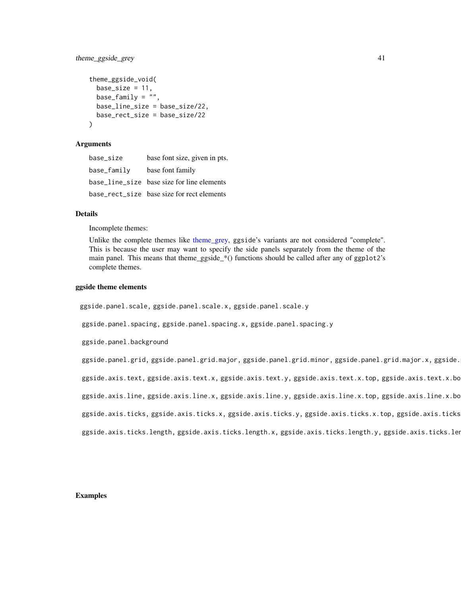# <span id="page-40-0"></span>theme\_ggside\_grey 41

```
theme_ggside_void(
 base_size = 11,
 base_family = "",
 base_line_size = base_size/22,
 base_rect_size = base_size/22
)
```
#### Arguments

| base size   | base font size, given in pts.              |
|-------------|--------------------------------------------|
| base_family | base font family                           |
|             | base_line_size base size for line elements |
|             | base_rect_size base size for rect elements |

#### Details

Incomplete themes:

Unlike the complete themes like [theme\\_grey,](#page-0-0) ggside's variants are not considered "complete". This is because the user may want to specify the side panels separately from the theme of the main panel. This means that theme\_ggside\_\*() functions should be called after any of ggplot2's complete themes.

#### ggside theme elements

ggside.panel.scale, ggside.panel.scale.x, ggside.panel.scale.y

ggside.panel.spacing, ggside.panel.spacing.x, ggside.panel.spacing.y

ggside.panel.background  $\epsilon$  the side panels in the side panels in the side panel.background panel.background

ggside.panel.grid, ggside.panel.grid.major, ggside.panel.grid.minor, ggside.panel.grid.major.x, ggside.

ggside.axis.text, ggside.axis.text.x, ggside.axis.text.y, ggside.axis.text.x.top, ggside.axis.text.x.bo

ggside.axis.line, ggside.axis.line.x, ggside.axis.line.y, ggside.axis.line.x.top, ggside.axis.line.x.bo

ggside.axis.ticks, ggside.axis.ticks.x, ggside.axis.ticks.y, ggside.axis.ticks.x.top, ggside.axis.ticks

ggside.axis.ticks.length, ggside.axis.ticks.length.x, ggside.axis.ticks.length.y, ggside.axis.ticks.len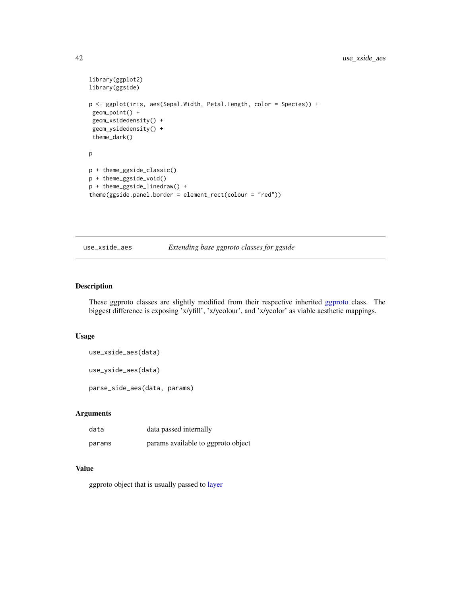```
library(ggplot2)
library(ggside)
p <- ggplot(iris, aes(Sepal.Width, Petal.Length, color = Species)) +
 geom_point() +
 geom_xsidedensity() +
 geom_ysidedensity() +
 theme_dark()
p
p + theme_ggside_classic()
p + theme_ggside_void()
p + theme_ggside_linedraw() +
theme(ggside.panel.border = element_rect(colour = "red"))
```
use\_xside\_aes *Extending base ggproto classes for ggside*

# Description

These ggproto classes are slightly modified from their respective inherited [ggproto](#page-0-0) class. The biggest difference is exposing 'x/yfill', 'x/ycolour', and 'x/ycolor' as viable aesthetic mappings.

#### Usage

```
use_xside_aes(data)
use_yside_aes(data)
parse_side_aes(data, params)
```
# Arguments

| data   | data passed internally             |
|--------|------------------------------------|
| params | params available to ggproto object |

### Value

ggproto object that is usually passed to [layer](#page-0-0)

<span id="page-41-0"></span>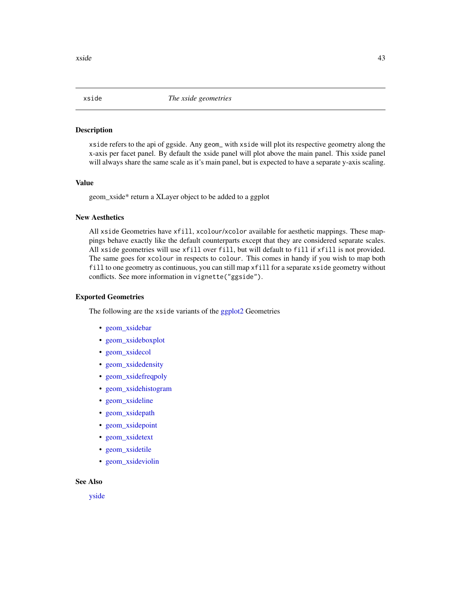<span id="page-42-1"></span><span id="page-42-0"></span>

#### Description

xside refers to the api of ggside. Any geom\_ with xside will plot its respective geometry along the x-axis per facet panel. By default the xside panel will plot above the main panel. This xside panel will always share the same scale as it's main panel, but is expected to have a separate y-axis scaling.

#### Value

geom\_xside\* return a XLayer object to be added to a ggplot

# New Aesthetics

All xside Geometries have xfill, xcolour/xcolor available for aesthetic mappings. These mappings behave exactly like the default counterparts except that they are considered separate scales. All xside geometries will use xfill over fill, but will default to fill if xfill is not provided. The same goes for xcolour in respects to colour. This comes in handy if you wish to map both fill to one geometry as continuous, you can still map xfill for a separate xside geometry without conflicts. See more information in vignette("ggside").

#### Exported Geometries

The following are the xside variants of the [ggplot2](#page-0-0) Geometries

- geom xsidebar
- [geom\\_xsideboxplot](#page-5-1)
- [geom\\_xsidecol](#page-2-2)
- [geom\\_xsidedensity](#page-9-1)
- [geom\\_xsidefreqpoly](#page-11-1)
- [geom\\_xsidehistogram](#page-12-1)
- [geom\\_xsideline](#page-15-1)
- [geom\\_xsidepath](#page-15-2)
- [geom\\_xsidepoint](#page-17-1)
- [geom\\_xsidetext](#page-21-1)
- [geom\\_xsidetile](#page-23-1)
- [geom\\_xsideviolin](#page-25-2)

#### See Also

[yside](#page-43-1)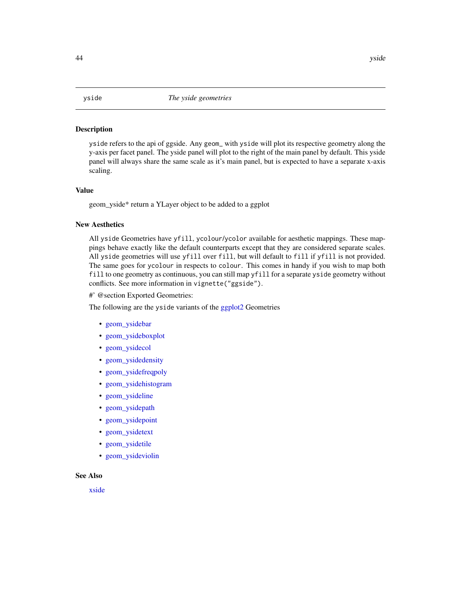#### <span id="page-43-1"></span><span id="page-43-0"></span>Description

yside refers to the api of ggside. Any geom\_ with yside will plot its respective geometry along the y-axis per facet panel. The yside panel will plot to the right of the main panel by default. This yside panel will always share the same scale as it's main panel, but is expected to have a separate x-axis scaling.

#### Value

geom\_yside\* return a YLayer object to be added to a ggplot

#### New Aesthetics

All yside Geometries have yfill, ycolour/ycolor available for aesthetic mappings. These mappings behave exactly like the default counterparts except that they are considered separate scales. All yside geometries will use yfill over fill, but will default to fill if yfill is not provided. The same goes for ycolour in respects to colour. This comes in handy if you wish to map both fill to one geometry as continuous, you can still map yfill for a separate yside geometry without conflicts. See more information in vignette("ggside").

#' @section Exported Geometries:

The following are the yside variants of the [ggplot2](#page-0-0) Geometries

- [geom\\_ysidebar](#page-2-2)
- [geom\\_ysideboxplot](#page-5-2)
- [geom\\_ysidecol](#page-2-2)
- [geom\\_ysidedensity](#page-9-2)
- [geom\\_ysidefreqpoly](#page-11-2)
- [geom\\_ysidehistogram](#page-12-2)
- [geom\\_ysideline](#page-15-2)
- [geom\\_ysidepath](#page-15-2)
- [geom\\_ysidepoint](#page-17-2)
- [geom\\_ysidetext](#page-21-2)
- [geom\\_ysidetile](#page-23-2)
- [geom\\_ysideviolin](#page-25-1)

# See Also

[xside](#page-42-1)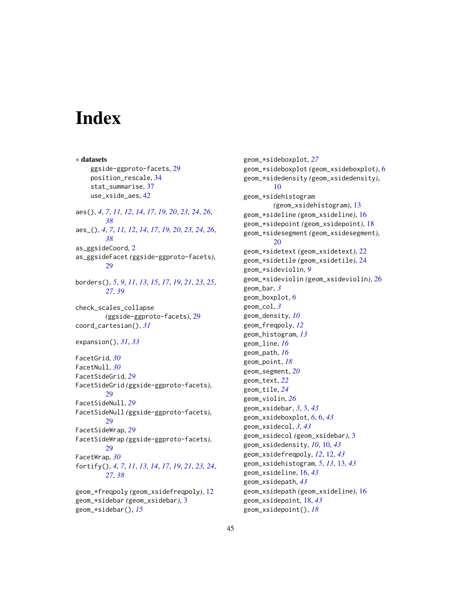# <span id="page-44-0"></span>**Index**

∗ datasets ggside-ggproto-facets, [29](#page-28-0) position\_rescale, [34](#page-33-0) stat\_summarise, [37](#page-36-0) use\_xside\_aes, [42](#page-41-0) aes(), *[4](#page-3-0)*, *[7](#page-6-0)*, *[11,](#page-10-0) [12](#page-11-0)*, *[14](#page-13-0)*, *[17](#page-16-0)*, *[19,](#page-18-0) [20](#page-19-0)*, *[23,](#page-22-0) [24](#page-23-0)*, *[26](#page-25-0)*, *[38](#page-37-0)* aes\_(), *[4](#page-3-0)*, *[7](#page-6-0)*, *[11,](#page-10-0) [12](#page-11-0)*, *[14](#page-13-0)*, *[17](#page-16-0)*, *[19,](#page-18-0) [20](#page-19-0)*, *[23,](#page-22-0) [24](#page-23-0)*, *[26](#page-25-0)*, *[38](#page-37-0)* as\_ggsideCoord, [2](#page-1-0) as\_ggsideFacet *(*ggside-ggproto-facets*)*, [29](#page-28-0) borders(), *[5](#page-4-0)*, *[9](#page-8-0)*, *[11](#page-10-0)*, *[13](#page-12-0)*, *[15](#page-14-0)*, *[17](#page-16-0)*, *[19](#page-18-0)*, *[21](#page-20-0)*, *[23](#page-22-0)*, *[25](#page-24-0)*, *[27](#page-26-0)*, *[39](#page-38-0)* check\_scales\_collapse *(*ggside-ggproto-facets*)*, [29](#page-28-0) coord\_cartesian(), *[31](#page-30-0)* expansion(), *[31](#page-30-0)*, *[33](#page-32-0)* FacetGrid, *[30](#page-29-0)* FacetNull, *[30](#page-29-0)* FacetSideGrid, *[29](#page-28-0)* FacetSideGrid *(*ggside-ggproto-facets*)*, [29](#page-28-0) FacetSideNull, *[29](#page-28-0)* FacetSideNull *(*ggside-ggproto-facets*)*, [29](#page-28-0) FacetSideWrap, *[29](#page-28-0)* FacetSideWrap *(*ggside-ggproto-facets*)*, [29](#page-28-0) FacetWrap, *[30](#page-29-0)* fortify(), *[4](#page-3-0)*, *[7](#page-6-0)*, *[11](#page-10-0)*, *[13,](#page-12-0) [14](#page-13-0)*, *[17](#page-16-0)*, *[19](#page-18-0)*, *[21](#page-20-0)*, *[23,](#page-22-0) [24](#page-23-0)*, *[27](#page-26-0)*, *[38](#page-37-0)* geom\_\*freqpoly *(*geom\_xsidefreqpoly*)*, [12](#page-11-0)

geom\_\*sidebar *(*geom\_xsidebar*)*, [3](#page-2-0) geom\_\*sidebar(), *[15](#page-14-0)*

geom\_\*sideboxplot, *[27](#page-26-0)* geom\_\*sideboxplot *(*geom\_xsideboxplot*)*, [6](#page-5-0) geom\_\*sidedensity *(*geom\_xsidedensity*)*, [10](#page-9-0) geom\_\*sidehistogram *(*geom\_xsidehistogram*)*, [13](#page-12-0) geom\_\*sideline *(*geom\_xsideline*)*, [16](#page-15-0) geom\_\*sidepoint *(*geom\_xsidepoint*)*, [18](#page-17-0) geom\_\*sidesegment *(*geom\_xsidesegment*)*, [20](#page-19-0) geom\_\*sidetext *(*geom\_xsidetext*)*, [22](#page-21-0) geom\_\*sidetile *(*geom\_xsidetile*)*, [24](#page-23-0) geom\_\*sideviolin, *[9](#page-8-0)* geom\_\*sideviolin *(*geom\_xsideviolin*)*, [26](#page-25-0) geom\_bar, *[3](#page-2-0)* geom\_boxplot, *[6](#page-5-0)* geom\_col, *[3](#page-2-0)* geom\_density, *[10](#page-9-0)* geom\_freqpoly, *[12](#page-11-0)* geom\_histogram, *[13](#page-12-0)* geom\_line, *[16](#page-15-0)* geom\_path, *[16](#page-15-0)* geom\_point, *[18](#page-17-0)* geom\_segment, *[20](#page-19-0)* geom\_text, *[22](#page-21-0)* geom\_tile, *[24](#page-23-0)* geom\_violin, *[26](#page-25-0)* geom\_xsidebar, *[3](#page-2-0)*, [3,](#page-2-0) *[43](#page-42-0)* geom\_xsideboxplot, *[6](#page-5-0)*, [6,](#page-5-0) *[43](#page-42-0)* geom\_xsidecol, *[3](#page-2-0)*, *[43](#page-42-0)* geom\_xsidecol *(*geom\_xsidebar*)*, [3](#page-2-0) geom\_xsidedensity, *[10](#page-9-0)*, [10,](#page-9-0) *[43](#page-42-0)* geom\_xsidefreqpoly, *[12](#page-11-0)*, [12,](#page-11-0) *[43](#page-42-0)* geom\_xsidehistogram, *[5](#page-4-0)*, *[13](#page-12-0)*, [13,](#page-12-0) *[43](#page-42-0)* geom\_xsideline, [16,](#page-15-0) *[43](#page-42-0)* geom\_xsidepath, *[43](#page-42-0)* geom\_xsidepath *(*geom\_xsideline*)*, [16](#page-15-0) geom\_xsidepoint, [18,](#page-17-0) *[43](#page-42-0)* geom\_xsidepoint(), *[18](#page-17-0)*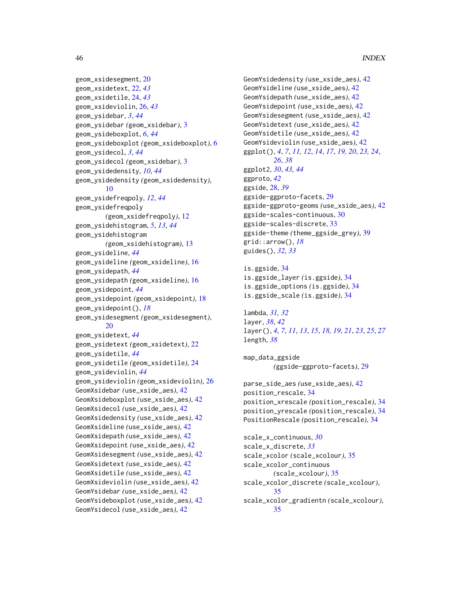```
geom_xsidesegment, 20
geom_xsidetext, 22, 43
geom_xsidetile, 24, 43
geom_xsideviolin, 26, 43
geom_ysidebar, 3, 44
geom_ysidebar (geom_xsidebar), 3
geom_ysideboxplot, 6, 44
geom_ysideboxplot (geom_xsideboxplot), 6
geom_ysidecol, 3, 44
geom_ysidecol (geom_xsidebar), 3
geom_ysidedensity, 10, 44
geom_ysidedensity (geom_xsidedensity),
        10
geom_ysidefreqpoly, 12, 44
geom_ysidefreqpoly
        (geom_xsidefreqpoly), 12
geom_ysidehistogram, 5, 13, 44
geom_ysidehistogram
        (geom_xsidehistogram), 13
geom_ysideline, 44
geom_ysideline (geom_xsideline), 16
geom_ysidepath, 44
geom_ysidepath (geom_xsideline), 16
geom_ysidepoint, 44
geom_ysidepoint (geom_xsidepoint), 18
geom_ysidepoint(), 18
geom_ysidesegment (geom_xsidesegment),
        20
geom_ysidetext, 44
geom_ysidetext (geom_xsidetext), 22
geom_ysidetile, 44
geom_ysidetile (geom_xsidetile), 24
geom_ysideviolin, 44
geom_ysideviolin (geom_xsideviolin), 26
GeomXsidebar (use_xside_aes), 42
GeomXsideboxplot (use_xside_aes), 42
GeomXsidecol (use_xside_aes), 42
GeomXsidedensity (use_xside_aes), 42
GeomXsideline (use_xside_aes), 42
GeomXsidepath (use_xside_aes), 42
GeomXsidepoint (use_xside_aes), 42
GeomXsidesegment (use_xside_aes), 42
GeomXsidetext (use_xside_aes), 42
GeomXsidetile (use_xside_aes), 42
GeomXsideviolin (use_xside_aes), 42
GeomYsidebar (use_xside_aes), 42
GeomYsideboxplot (use_xside_aes), 42
GeomYsidecol (use_xside_aes), 42
```

```
GeomYsidedensity (use_xside_aes), 42
GeomYsideline (use_xside_aes), 42
GeomYsidepath (use_xside_aes), 42
GeomYsidepoint (use_xside_aes), 42
GeomYsidesegment (use_xside_aes), 42
GeomYsidetext (use_xside_aes), 42
GeomYsidetile (use_xside_aes), 42
GeomYsideviolin (use_xside_aes), 42
ggplot(), 4, 7, 11, 12, 14, 17, 19, 20, 23, 24,
        26, 38
ggplot2, 30, 43, 44
ggproto, 42
ggside, 28, 39
ggside-ggproto-facets, 29
ggside-ggproto-geoms (use_xside_aes), 42
ggside-scales-continuous, 30
ggside-scales-discrete, 33
ggside-theme (theme_ggside_grey), 39
grid::arrow(), 18
guides(), 32, 33
```
is.ggside, [34](#page-33-0) is.ggside\_layer *(*is.ggside*)*, [34](#page-33-0) is.ggside\_options *(*is.ggside*)*, [34](#page-33-0) is.ggside\_scale *(*is.ggside*)*, [34](#page-33-0)

lambda, *[31,](#page-30-0) [32](#page-31-0)* layer, *[38](#page-37-0)*, *[42](#page-41-0)* layer(), *[4](#page-3-0)*, *[7](#page-6-0)*, *[11](#page-10-0)*, *[13](#page-12-0)*, *[15](#page-14-0)*, *[18,](#page-17-0) [19](#page-18-0)*, *[21](#page-20-0)*, *[23](#page-22-0)*, *[25](#page-24-0)*, *[27](#page-26-0)* length, *[38](#page-37-0)*

map\_data\_ggside *(*ggside-ggproto-facets*)*, [29](#page-28-0)

```
parse_side_aes (use_xside_aes), 42
position_rescale, 34
position_xrescale (position_rescale), 34
position_yrescale (position_rescale), 34
PositionRescale (position_rescale), 34
```
scale\_x\_continuous, *[30](#page-29-0)* scale\_x\_discrete, *[33](#page-32-0)* scale\_xcolor *(*scale\_xcolour*)*, [35](#page-34-0) scale\_xcolor\_continuous *(*scale\_xcolour*)*, [35](#page-34-0) scale\_xcolor\_discrete *(*scale\_xcolour*)*, [35](#page-34-0) scale\_xcolor\_gradientn *(*scale\_xcolour*)*, [35](#page-34-0)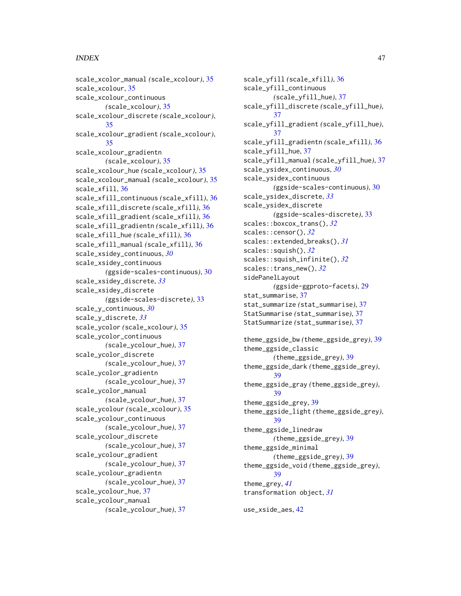### INDEX 47

scale\_xcolor\_manual *(*scale\_xcolour*)*, [35](#page-34-0) scale\_xcolour, [35](#page-34-0) scale\_xcolour\_continuous *(*scale\_xcolour*)*, [35](#page-34-0) scale\_xcolour\_discrete *(*scale\_xcolour*)*, [35](#page-34-0) scale\_xcolour\_gradient *(*scale\_xcolour*)*, [35](#page-34-0) scale\_xcolour\_gradientn *(*scale\_xcolour*)*, [35](#page-34-0) scale\_xcolour\_hue *(*scale\_xcolour*)*, [35](#page-34-0) scale\_xcolour\_manual *(*scale\_xcolour*)*, [35](#page-34-0) scale\_xfill, [36](#page-35-0) scale\_xfill\_continuous *(*scale\_xfill*)*, [36](#page-35-0) scale\_xfill\_discrete *(*scale\_xfill*)*, [36](#page-35-0) scale\_xfill\_gradient *(*scale\_xfill*)*, [36](#page-35-0) scale\_xfill\_gradientn *(*scale\_xfill*)*, [36](#page-35-0) scale\_xfill\_hue *(*scale\_xfill*)*, [36](#page-35-0) scale\_xfill\_manual *(*scale\_xfill*)*, [36](#page-35-0) scale\_xsidey\_continuous, *[30](#page-29-0)* scale\_xsidey\_continuous *(*ggside-scales-continuous*)*, [30](#page-29-0) scale\_xsidey\_discrete, *[33](#page-32-0)* scale\_xsidey\_discrete *(*ggside-scales-discrete*)*, [33](#page-32-0) scale\_y\_continuous, *[30](#page-29-0)* scale\_y\_discrete, *[33](#page-32-0)* scale\_ycolor *(*scale\_xcolour*)*, [35](#page-34-0) scale\_ycolor\_continuous *(*scale\_ycolour\_hue*)*, [37](#page-36-0) scale\_ycolor\_discrete *(*scale\_ycolour\_hue*)*, [37](#page-36-0) scale\_ycolor\_gradientn *(*scale\_ycolour\_hue*)*, [37](#page-36-0) scale\_ycolor\_manual *(*scale\_ycolour\_hue*)*, [37](#page-36-0) scale\_ycolour *(*scale\_xcolour*)*, [35](#page-34-0) scale\_ycolour\_continuous *(*scale\_ycolour\_hue*)*, [37](#page-36-0) scale\_ycolour\_discrete *(*scale\_ycolour\_hue*)*, [37](#page-36-0) scale\_ycolour\_gradient *(*scale\_ycolour\_hue*)*, [37](#page-36-0) scale\_ycolour\_gradientn *(*scale\_ycolour\_hue*)*, [37](#page-36-0) scale\_ycolour\_hue, [37](#page-36-0) scale\_ycolour\_manual *(*scale\_ycolour\_hue*)*, [37](#page-36-0)

scale\_yfill *(*scale\_xfill*)*, [36](#page-35-0) scale\_yfill\_continuous *(*scale\_yfill\_hue*)*, [37](#page-36-0) scale\_yfill\_discrete *(*scale\_yfill\_hue*)*, [37](#page-36-0) scale\_yfill\_gradient *(*scale\_yfill\_hue*)*, [37](#page-36-0) scale\_yfill\_gradientn *(*scale\_xfill*)*, [36](#page-35-0) scale\_yfill\_hue, [37](#page-36-0) scale\_yfill\_manual *(*scale\_yfill\_hue*)*, [37](#page-36-0) scale\_ysidex\_continuous, *[30](#page-29-0)* scale\_ysidex\_continuous *(*ggside-scales-continuous*)*, [30](#page-29-0) scale\_ysidex\_discrete, *[33](#page-32-0)* scale\_ysidex\_discrete *(*ggside-scales-discrete*)*, [33](#page-32-0) scales::boxcox\_trans(), *[32](#page-31-0)* scales::censor(), *[32](#page-31-0)* scales::extended\_breaks(), *[31](#page-30-0)* scales::squish(), *[32](#page-31-0)* scales::squish\_infinite(), *[32](#page-31-0)* scales::trans\_new(), *[32](#page-31-0)* sidePanelLayout *(*ggside-ggproto-facets*)*, [29](#page-28-0) stat\_summarise, [37](#page-36-0) stat\_summarize *(*stat\_summarise*)*, [37](#page-36-0) StatSummarise *(*stat\_summarise*)*, [37](#page-36-0) StatSummarize *(*stat\_summarise*)*, [37](#page-36-0) theme\_ggside\_bw *(*theme\_ggside\_grey*)*, [39](#page-38-0) theme\_ggside\_classic *(*theme\_ggside\_grey*)*, [39](#page-38-0) theme\_ggside\_dark *(*theme\_ggside\_grey*)*, [39](#page-38-0) theme\_ggside\_gray *(*theme\_ggside\_grey*)*, [39](#page-38-0) theme\_ggside\_grey, [39](#page-38-0) theme\_ggside\_light *(*theme\_ggside\_grey*)*, [39](#page-38-0) theme\_ggside\_linedraw *(*theme\_ggside\_grey*)*, [39](#page-38-0) theme\_ggside\_minimal *(*theme\_ggside\_grey*)*, [39](#page-38-0) theme\_ggside\_void *(*theme\_ggside\_grey*)*, [39](#page-38-0) theme\_grey, *[41](#page-40-0)* transformation object, *[31](#page-30-0)*

use\_xside\_aes, [42](#page-41-0)